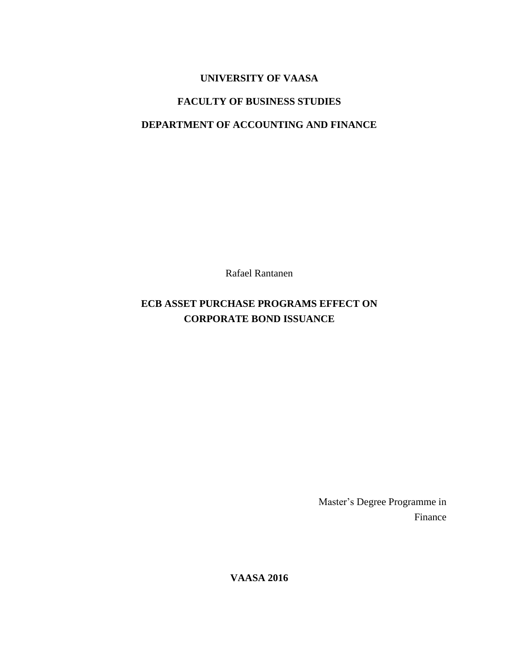# **UNIVERSITY OF VAASA**

# **FACULTY OF BUSINESS STUDIES**

# **DEPARTMENT OF ACCOUNTING AND FINANCE**

Rafael Rantanen

# **ECB ASSET PURCHASE PROGRAMS EFFECT ON CORPORATE BOND ISSUANCE**

Master's Degree Programme in Finance

**VAASA 2016**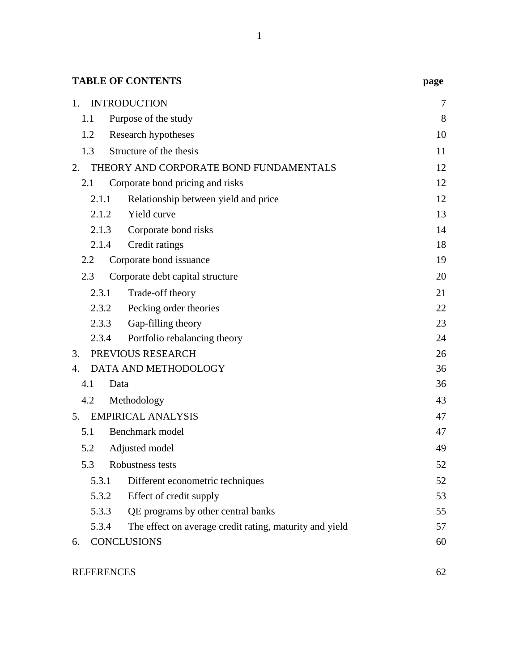| <b>TABLE OF CONTENTS</b>                                         | page |
|------------------------------------------------------------------|------|
| <b>INTRODUCTION</b><br>1.                                        | 7    |
| Purpose of the study<br>1.1                                      | 8    |
| 1.2<br>Research hypotheses                                       | 10   |
| 1.3<br>Structure of the thesis                                   | 11   |
| THEORY AND CORPORATE BOND FUNDAMENTALS<br>2.                     | 12   |
| 2.1<br>Corporate bond pricing and risks                          | 12   |
| 2.1.1<br>Relationship between yield and price                    | 12   |
| Yield curve<br>2.1.2                                             | 13   |
| 2.1.3<br>Corporate bond risks                                    | 14   |
| 2.1.4<br>Credit ratings                                          | 18   |
| Corporate bond issuance<br>2.2                                   | 19   |
| 2.3<br>Corporate debt capital structure                          | 20   |
| Trade-off theory<br>2.3.1                                        | 21   |
| 2.3.2<br>Pecking order theories                                  | 22   |
| 2.3.3<br>Gap-filling theory                                      | 23   |
| Portfolio rebalancing theory<br>2.3.4                            | 24   |
| PREVIOUS RESEARCH<br>3.                                          | 26   |
| DATA AND METHODOLOGY<br>4.                                       | 36   |
| 4.1<br>Data                                                      | 36   |
| 4.2<br>Methodology                                               | 43   |
| <b>EMPIRICAL ANALYSIS</b><br>5.                                  | 47   |
| Benchmark model<br>5.1                                           | 47   |
| 5.2<br>Adjusted model                                            | 49   |
| 5.3<br>Robustness tests                                          | 52   |
| 5.3.1<br>Different econometric techniques                        | 52   |
| 5.3.2<br>Effect of credit supply                                 | 53   |
| 5.3.3<br>QE programs by other central banks                      | 55   |
| 5.3.4<br>The effect on average credit rating, maturity and yield | 57   |
| <b>CONCLUSIONS</b><br>6.                                         | 60   |

# [REFERENCES](#page-63-0) 62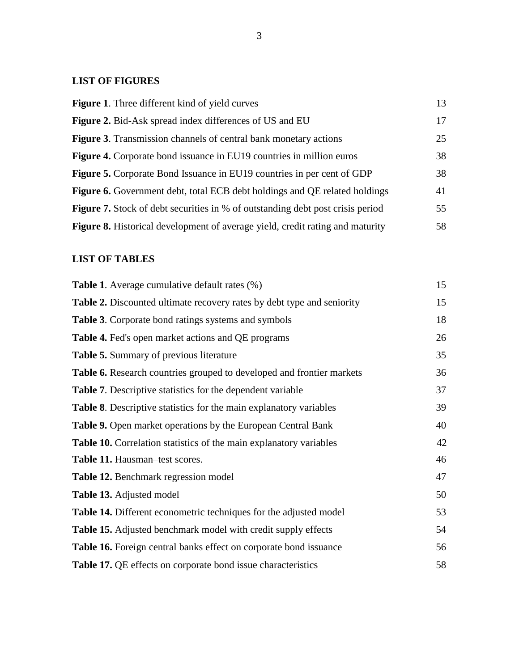# **LIST OF FIGURES**

| <b>Figure 1.</b> Three different kind of yield curves                                 | 13 |
|---------------------------------------------------------------------------------------|----|
| <b>Figure 2.</b> Bid-Ask spread index differences of US and EU                        | 17 |
| <b>Figure 3.</b> Transmission channels of central bank monetary actions               | 25 |
| <b>Figure 4.</b> Corporate bond issuance in EU19 countries in million euros           | 38 |
| <b>Figure 5.</b> Corporate Bond Issuance in EU19 countries in per cent of GDP         | 38 |
| Figure 6. Government debt, total ECB debt holdings and QE related holdings            | 41 |
| <b>Figure 7.</b> Stock of debt securities in % of outstanding debt post crisis period | 55 |
| Figure 8. Historical development of average yield, credit rating and maturity         | 58 |

# **LIST OF TABLES**

| <b>Table 1.</b> Average cumulative default rates (%)                          | 15 |
|-------------------------------------------------------------------------------|----|
| <b>Table 2.</b> Discounted ultimate recovery rates by debt type and seniority | 15 |
| <b>Table 3.</b> Corporate bond ratings systems and symbols                    | 18 |
| <b>Table 4.</b> Fed's open market actions and QE programs                     | 26 |
| <b>Table 5.</b> Summary of previous literature                                | 35 |
| Table 6. Research countries grouped to developed and frontier markets         | 36 |
| <b>Table 7.</b> Descriptive statistics for the dependent variable             | 37 |
| <b>Table 8.</b> Descriptive statistics for the main explanatory variables     | 39 |
| <b>Table 9.</b> Open market operations by the European Central Bank           | 40 |
| <b>Table 10.</b> Correlation statistics of the main explanatory variables     | 42 |
| Table 11. Hausman-test scores.                                                | 46 |
| <b>Table 12.</b> Benchmark regression model                                   | 47 |
| <b>Table 13.</b> Adjusted model                                               | 50 |
| <b>Table 14.</b> Different econometric techniques for the adjusted model      | 53 |
| Table 15. Adjusted benchmark model with credit supply effects                 | 54 |
| Table 16. Foreign central banks effect on corporate bond issuance             | 56 |
| Table 17. QE effects on corporate bond issue characteristics                  | 58 |
|                                                                               |    |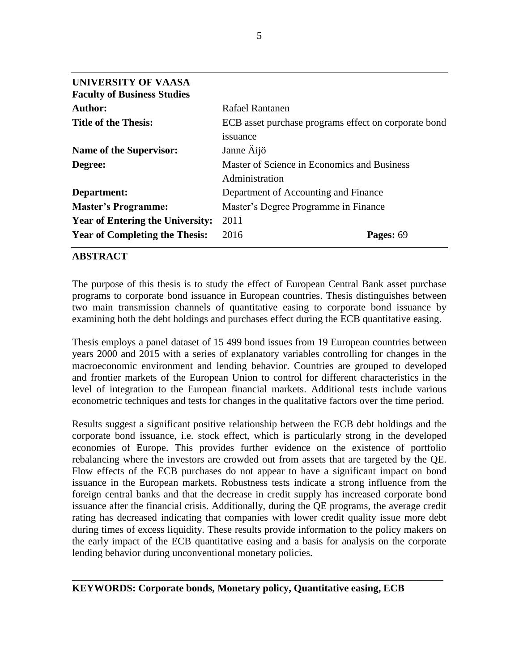| Rafael Rantanen                                      |
|------------------------------------------------------|
| ECB asset purchase programs effect on corporate bond |
| issuance                                             |
| Janne Äijö                                           |
| Master of Science in Economics and Business          |
| Administration                                       |
| Department of Accounting and Finance                 |
| Master's Degree Programme in Finance                 |
| 2011                                                 |
| 2016<br>Pages: 69                                    |
|                                                      |

## **ABSTRACT**

The purpose of this thesis is to study the effect of European Central Bank asset purchase programs to corporate bond issuance in European countries. Thesis distinguishes between two main transmission channels of quantitative easing to corporate bond issuance by examining both the debt holdings and purchases effect during the ECB quantitative easing.

Thesis employs a panel dataset of 15 499 bond issues from 19 European countries between years 2000 and 2015 with a series of explanatory variables controlling for changes in the macroeconomic environment and lending behavior. Countries are grouped to developed and frontier markets of the European Union to control for different characteristics in the level of integration to the European financial markets. Additional tests include various econometric techniques and tests for changes in the qualitative factors over the time period.

Results suggest a significant positive relationship between the ECB debt holdings and the corporate bond issuance, i.e. stock effect, which is particularly strong in the developed economies of Europe. This provides further evidence on the existence of portfolio rebalancing where the investors are crowded out from assets that are targeted by the QE. Flow effects of the ECB purchases do not appear to have a significant impact on bond issuance in the European markets. Robustness tests indicate a strong influence from the foreign central banks and that the decrease in credit supply has increased corporate bond issuance after the financial crisis. Additionally, during the QE programs, the average credit rating has decreased indicating that companies with lower credit quality issue more debt during times of excess liquidity. These results provide information to the policy makers on the early impact of the ECB quantitative easing and a basis for analysis on the corporate lending behavior during unconventional monetary policies.

\_\_\_\_\_\_\_\_\_\_\_\_\_\_\_\_\_\_\_\_\_\_\_\_\_\_\_\_\_\_\_\_\_\_\_\_\_\_\_\_\_\_\_\_\_\_\_\_\_\_\_\_\_\_\_\_\_\_\_\_\_\_\_\_\_\_\_\_\_\_\_\_\_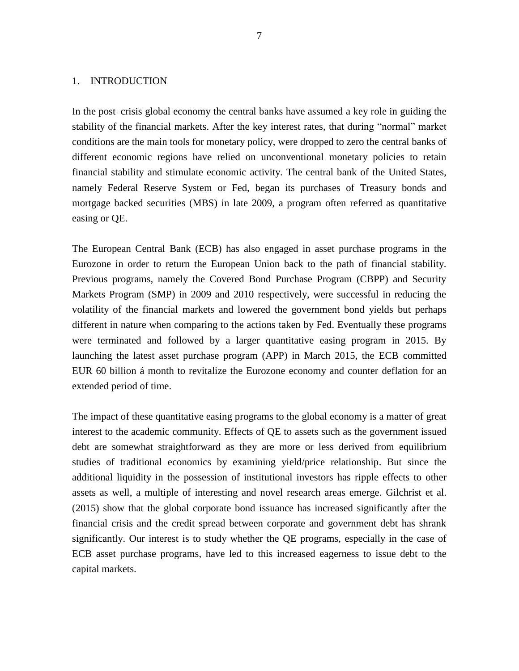## <span id="page-8-0"></span>1. INTRODUCTION

In the post–crisis global economy the central banks have assumed a key role in guiding the stability of the financial markets. After the key interest rates, that during "normal" market conditions are the main tools for monetary policy, were dropped to zero the central banks of different economic regions have relied on unconventional monetary policies to retain financial stability and stimulate economic activity. The central bank of the United States, namely Federal Reserve System or Fed, began its purchases of Treasury bonds and mortgage backed securities (MBS) in late 2009, a program often referred as quantitative easing or QE.

The European Central Bank (ECB) has also engaged in asset purchase programs in the Eurozone in order to return the European Union back to the path of financial stability. Previous programs, namely the Covered Bond Purchase Program (CBPP) and Security Markets Program (SMP) in 2009 and 2010 respectively, were successful in reducing the volatility of the financial markets and lowered the government bond yields but perhaps different in nature when comparing to the actions taken by Fed. Eventually these programs were terminated and followed by a larger quantitative easing program in 2015. By launching the latest asset purchase program (APP) in March 2015, the ECB committed EUR 60 billion á month to revitalize the Eurozone economy and counter deflation for an extended period of time.

The impact of these quantitative easing programs to the global economy is a matter of great interest to the academic community. Effects of QE to assets such as the government issued debt are somewhat straightforward as they are more or less derived from equilibrium studies of traditional economics by examining yield/price relationship. But since the additional liquidity in the possession of institutional investors has ripple effects to other assets as well, a multiple of interesting and novel research areas emerge. Gilchrist et al. (2015) show that the global corporate bond issuance has increased significantly after the financial crisis and the credit spread between corporate and government debt has shrank significantly. Our interest is to study whether the QE programs, especially in the case of ECB asset purchase programs, have led to this increased eagerness to issue debt to the capital markets.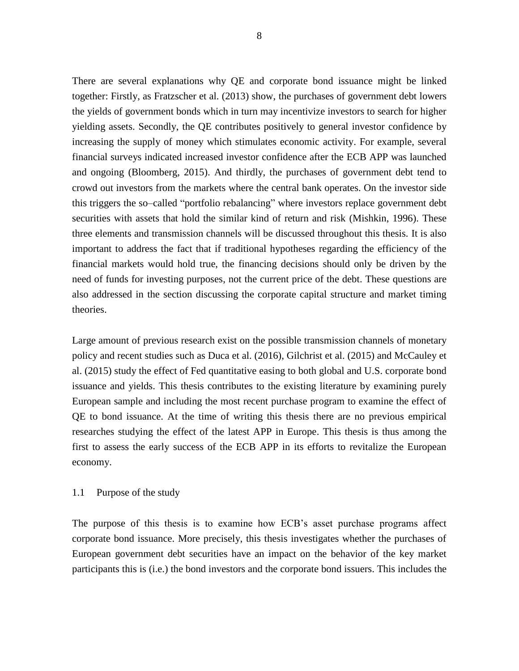There are several explanations why QE and corporate bond issuance might be linked together: Firstly, as Fratzscher et al. (2013) show, the purchases of government debt lowers the yields of government bonds which in turn may incentivize investors to search for higher yielding assets. Secondly, the QE contributes positively to general investor confidence by increasing the supply of money which stimulates economic activity. For example, several financial surveys indicated increased investor confidence after the ECB APP was launched and ongoing (Bloomberg, 2015). And thirdly, the purchases of government debt tend to crowd out investors from the markets where the central bank operates. On the investor side this triggers the so–called "portfolio rebalancing" where investors replace government debt securities with assets that hold the similar kind of return and risk (Mishkin, 1996). These three elements and transmission channels will be discussed throughout this thesis. It is also important to address the fact that if traditional hypotheses regarding the efficiency of the financial markets would hold true, the financing decisions should only be driven by the need of funds for investing purposes, not the current price of the debt. These questions are also addressed in the section discussing the corporate capital structure and market timing theories.

Large amount of previous research exist on the possible transmission channels of monetary policy and recent studies such as Duca et al. (2016), Gilchrist et al. (2015) and McCauley et al. (2015) study the effect of Fed quantitative easing to both global and U.S. corporate bond issuance and yields. This thesis contributes to the existing literature by examining purely European sample and including the most recent purchase program to examine the effect of QE to bond issuance. At the time of writing this thesis there are no previous empirical researches studying the effect of the latest APP in Europe. This thesis is thus among the first to assess the early success of the ECB APP in its efforts to revitalize the European economy.

#### <span id="page-9-0"></span>1.1 Purpose of the study

The purpose of this thesis is to examine how ECB's asset purchase programs affect corporate bond issuance. More precisely, this thesis investigates whether the purchases of European government debt securities have an impact on the behavior of the key market participants this is (i.e.) the bond investors and the corporate bond issuers. This includes the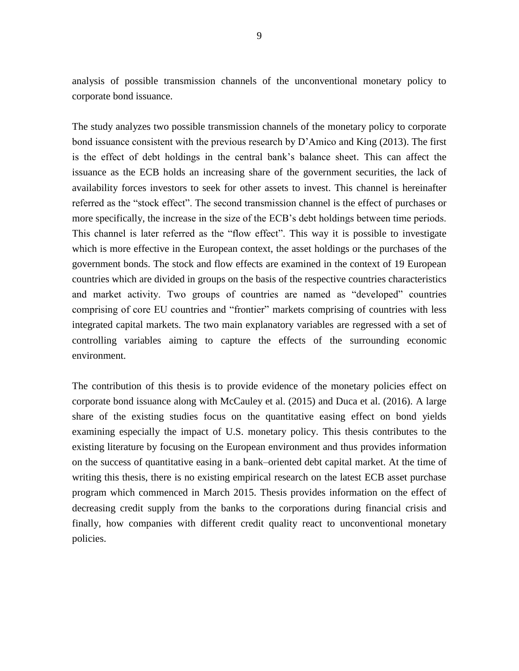analysis of possible transmission channels of the unconventional monetary policy to corporate bond issuance.

The study analyzes two possible transmission channels of the monetary policy to corporate bond issuance consistent with the previous research by D'Amico and King (2013). The first is the effect of debt holdings in the central bank's balance sheet. This can affect the issuance as the ECB holds an increasing share of the government securities, the lack of availability forces investors to seek for other assets to invest. This channel is hereinafter referred as the "stock effect". The second transmission channel is the effect of purchases or more specifically, the increase in the size of the ECB's debt holdings between time periods. This channel is later referred as the "flow effect". This way it is possible to investigate which is more effective in the European context, the asset holdings or the purchases of the government bonds. The stock and flow effects are examined in the context of 19 European countries which are divided in groups on the basis of the respective countries characteristics and market activity. Two groups of countries are named as "developed" countries comprising of core EU countries and "frontier" markets comprising of countries with less integrated capital markets. The two main explanatory variables are regressed with a set of controlling variables aiming to capture the effects of the surrounding economic environment.

The contribution of this thesis is to provide evidence of the monetary policies effect on corporate bond issuance along with McCauley et al. (2015) and Duca et al. (2016). A large share of the existing studies focus on the quantitative easing effect on bond yields examining especially the impact of U.S. monetary policy. This thesis contributes to the existing literature by focusing on the European environment and thus provides information on the success of quantitative easing in a bank–oriented debt capital market. At the time of writing this thesis, there is no existing empirical research on the latest ECB asset purchase program which commenced in March 2015. Thesis provides information on the effect of decreasing credit supply from the banks to the corporations during financial crisis and finally, how companies with different credit quality react to unconventional monetary policies.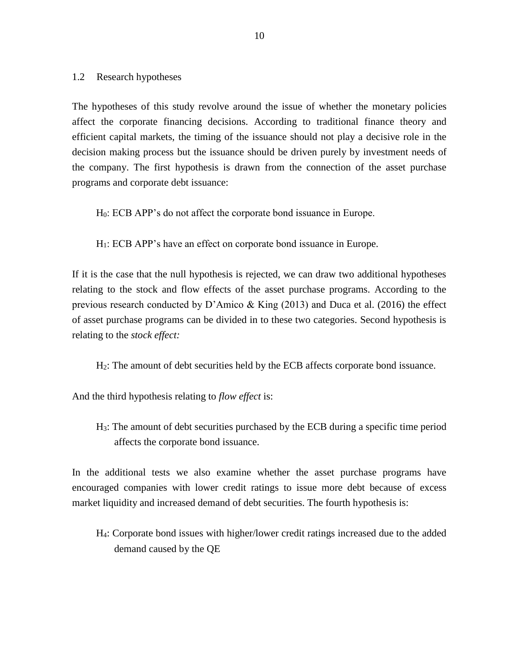### <span id="page-11-0"></span>1.2 Research hypotheses

The hypotheses of this study revolve around the issue of whether the monetary policies affect the corporate financing decisions. According to traditional finance theory and efficient capital markets, the timing of the issuance should not play a decisive role in the decision making process but the issuance should be driven purely by investment needs of the company. The first hypothesis is drawn from the connection of the asset purchase programs and corporate debt issuance:

H0: ECB APP's do not affect the corporate bond issuance in Europe.

H1: ECB APP's have an effect on corporate bond issuance in Europe.

If it is the case that the null hypothesis is rejected, we can draw two additional hypotheses relating to the stock and flow effects of the asset purchase programs. According to the previous research conducted by D'Amico & King (2013) and Duca et al. (2016) the effect of asset purchase programs can be divided in to these two categories. Second hypothesis is relating to the *stock effect:*

H2: The amount of debt securities held by the ECB affects corporate bond issuance.

And the third hypothesis relating to *flow effect* is:

H3: The amount of debt securities purchased by the ECB during a specific time period affects the corporate bond issuance.

In the additional tests we also examine whether the asset purchase programs have encouraged companies with lower credit ratings to issue more debt because of excess market liquidity and increased demand of debt securities. The fourth hypothesis is:

H4: Corporate bond issues with higher/lower credit ratings increased due to the added demand caused by the QE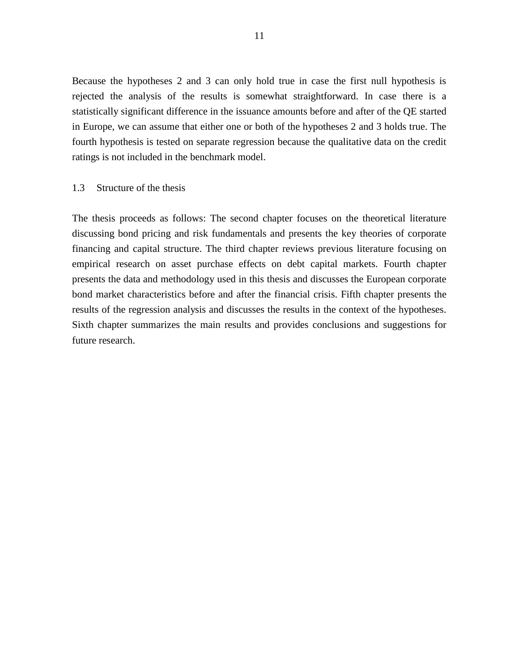Because the hypotheses 2 and 3 can only hold true in case the first null hypothesis is rejected the analysis of the results is somewhat straightforward. In case there is a statistically significant difference in the issuance amounts before and after of the QE started in Europe, we can assume that either one or both of the hypotheses 2 and 3 holds true. The fourth hypothesis is tested on separate regression because the qualitative data on the credit ratings is not included in the benchmark model.

## <span id="page-12-0"></span>1.3 Structure of the thesis

The thesis proceeds as follows: The second chapter focuses on the theoretical literature discussing bond pricing and risk fundamentals and presents the key theories of corporate financing and capital structure. The third chapter reviews previous literature focusing on empirical research on asset purchase effects on debt capital markets. Fourth chapter presents the data and methodology used in this thesis and discusses the European corporate bond market characteristics before and after the financial crisis. Fifth chapter presents the results of the regression analysis and discusses the results in the context of the hypotheses. Sixth chapter summarizes the main results and provides conclusions and suggestions for future research.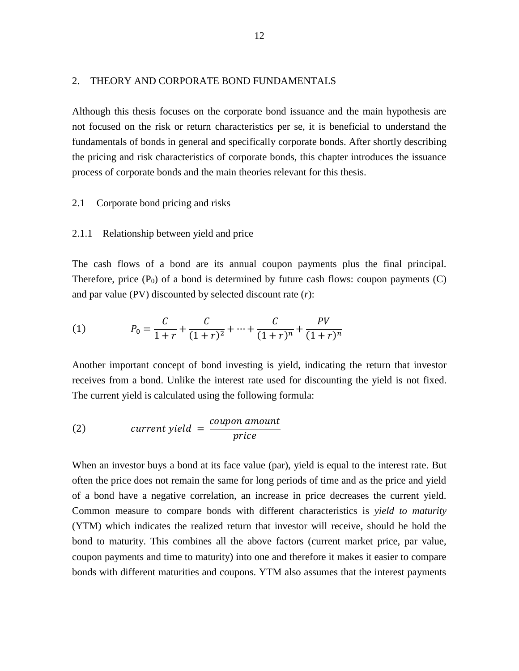#### <span id="page-13-0"></span>2. THEORY AND CORPORATE BOND FUNDAMENTALS

Although this thesis focuses on the corporate bond issuance and the main hypothesis are not focused on the risk or return characteristics per se, it is beneficial to understand the fundamentals of bonds in general and specifically corporate bonds. After shortly describing the pricing and risk characteristics of corporate bonds, this chapter introduces the issuance process of corporate bonds and the main theories relevant for this thesis.

#### <span id="page-13-1"></span>2.1 Corporate bond pricing and risks

#### <span id="page-13-2"></span>2.1.1 Relationship between yield and price

The cash flows of a bond are its annual coupon payments plus the final principal. Therefore, price  $(P_0)$  of a bond is determined by future cash flows: coupon payments  $(C)$ and par value (PV) discounted by selected discount rate (*r*):

(1) 
$$
P_0 = \frac{C}{1+r} + \frac{C}{(1+r)^2} + \dots + \frac{C}{(1+r)^n} + \frac{PV}{(1+r)^n}
$$

Another important concept of bond investing is yield, indicating the return that investor receives from a bond. Unlike the interest rate used for discounting the yield is not fixed. The current yield is calculated using the following formula:

(2) *current yield* = 
$$
\frac{coupon\,amount}{price}
$$

When an investor buys a bond at its face value (par), yield is equal to the interest rate. But often the price does not remain the same for long periods of time and as the price and yield of a bond have a negative correlation, an increase in price decreases the current yield. Common measure to compare bonds with different characteristics is *yield to maturity*  (YTM) which indicates the realized return that investor will receive, should he hold the bond to maturity. This combines all the above factors (current market price, par value, coupon payments and time to maturity) into one and therefore it makes it easier to compare bonds with different maturities and coupons. YTM also assumes that the interest payments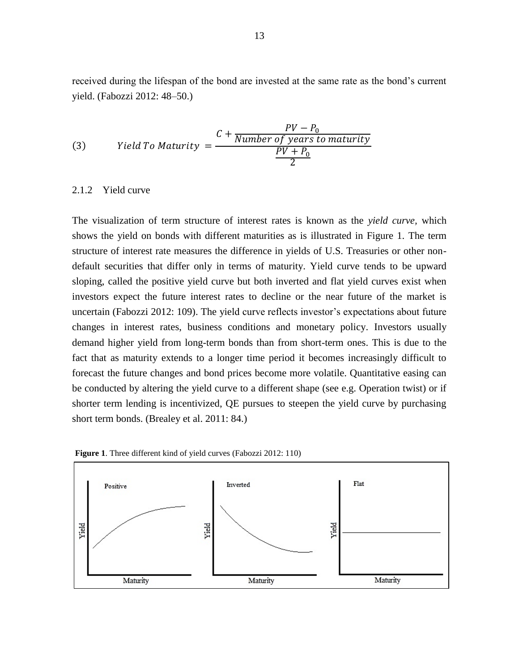received during the lifespan of the bond are invested at the same rate as the bond's current yield. (Fabozzi 2012: 48–50.)

(3) Yield To Maturity 
$$
= \frac{C + \frac{PV - P_0}{Number \ of \ years \ to \ maturity}}{\frac{PV + P_0}{2}}
$$

#### <span id="page-14-0"></span>2.1.2 Yield curve

The visualization of term structure of interest rates is known as the *yield curve,* which shows the yield on bonds with different maturities as is illustrated in Figure 1. The term structure of interest rate measures the difference in yields of U.S. Treasuries or other nondefault securities that differ only in terms of maturity. Yield curve tends to be upward sloping, called the positive yield curve but both inverted and flat yield curves exist when investors expect the future interest rates to decline or the near future of the market is uncertain (Fabozzi 2012: 109). The yield curve reflects investor's expectations about future changes in interest rates, business conditions and monetary policy. Investors usually demand higher yield from long-term bonds than from short-term ones. This is due to the fact that as maturity extends to a longer time period it becomes increasingly difficult to forecast the future changes and bond prices become more volatile. Quantitative easing can be conducted by altering the yield curve to a different shape (see e.g. Operation twist) or if shorter term lending is incentivized, QE pursues to steepen the yield curve by purchasing short term bonds. (Brealey et al. 2011: 84.)



**Figure 1**. Three different kind of yield curves (Fabozzi 2012: 110)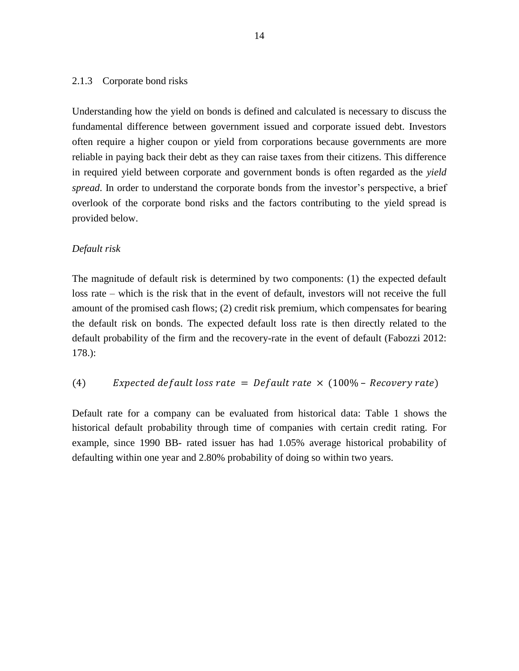## <span id="page-15-0"></span>2.1.3 Corporate bond risks

Understanding how the yield on bonds is defined and calculated is necessary to discuss the fundamental difference between government issued and corporate issued debt. Investors often require a higher coupon or yield from corporations because governments are more reliable in paying back their debt as they can raise taxes from their citizens. This difference in required yield between corporate and government bonds is often regarded as the *yield spread*. In order to understand the corporate bonds from the investor's perspective, a brief overlook of the corporate bond risks and the factors contributing to the yield spread is provided below.

## *Default risk*

The magnitude of default risk is determined by two components: (1) the expected default loss rate – which is the risk that in the event of default, investors will not receive the full amount of the promised cash flows; (2) credit risk premium, which compensates for bearing the default risk on bonds. The expected default loss rate is then directly related to the default probability of the firm and the recovery-rate in the event of default (Fabozzi 2012: 178.):

## (4) Expected default loss rate = Default rate  $\times$  (100% – Recovery rate)

Default rate for a company can be evaluated from historical data: Table 1 shows the historical default probability through time of companies with certain credit rating. For example, since 1990 BB- rated issuer has had 1.05% average historical probability of defaulting within one year and 2.80% probability of doing so within two years.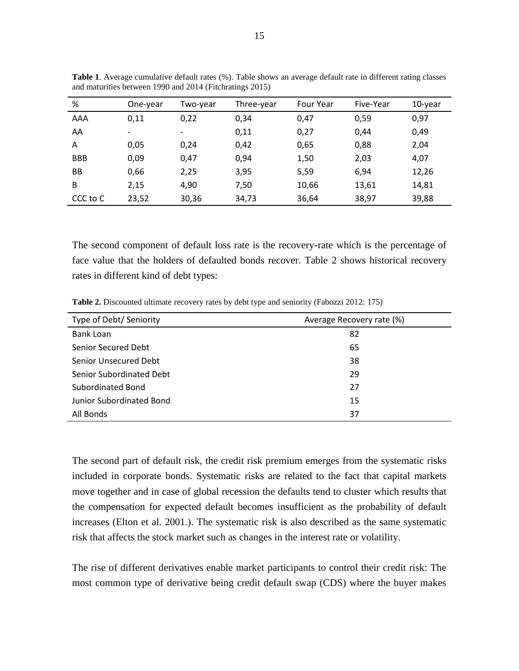| %          | One-year | Two-year                 | Three-year | <b>Four Year</b> | Five-Year | 10-year |
|------------|----------|--------------------------|------------|------------------|-----------|---------|
| AAA        | 0,11     | 0,22                     | 0,34       | 0,47             | 0,59      | 0,97    |
| AA         |          | $\overline{\phantom{a}}$ | 0,11       | 0,27             | 0,44      | 0,49    |
| A          | 0,05     | 0,24                     | 0,42       | 0,65             | 0,88      | 2,04    |
| <b>BBB</b> | 0,09     | 0,47                     | 0,94       | 1,50             | 2,03      | 4,07    |
| BB         | 0,66     | 2,25                     | 3,95       | 5,59             | 6,94      | 12,26   |
| B          | 2,15     | 4,90                     | 7,50       | 10,66            | 13,61     | 14,81   |
| CCC to C   | 23,52    | 30,36                    | 34,73      | 36,64            | 38,97     | 39,88   |

<span id="page-16-0"></span>**Table 1**. Average cumulative default rates (%). Table shows an average default rate in different rating classes and maturities between 1990 and 2014 (Fitchratings 2015)

The second component of default loss rate is the recovery-rate which is the percentage of face value that the holders of defaulted bonds recover. Table 2 shows historical recovery rates in different kind of debt types:

<span id="page-16-1"></span>**Table 2.** Discounted ultimate recovery rates by debt type and seniority (Fabozzi 2012: 175)

| Type of Debt/ Seniority  | Average Recovery rate (%) |
|--------------------------|---------------------------|
| <b>Bank Loan</b>         | 82                        |
| Senior Secured Debt      | 65                        |
| Senior Unsecured Debt    | 38                        |
| Senior Subordinated Debt | 29                        |
| Subordinated Bond        | 27                        |
| Junior Subordinated Bond | 15                        |
| All Bonds                | 37                        |

The second part of default risk, the credit risk premium emerges from the systematic risks included in corporate bonds. Systematic risks are related to the fact that capital markets move together and in case of global recession the defaults tend to cluster which results that the compensation for expected default becomes insufficient as the probability of default increases (Elton et al. 2001.). The systematic risk is also described as the same systematic risk that affects the stock market such as changes in the interest rate or volatility.

The rise of different derivatives enable market participants to control their credit risk: The most common type of derivative being credit default swap (CDS) where the buyer makes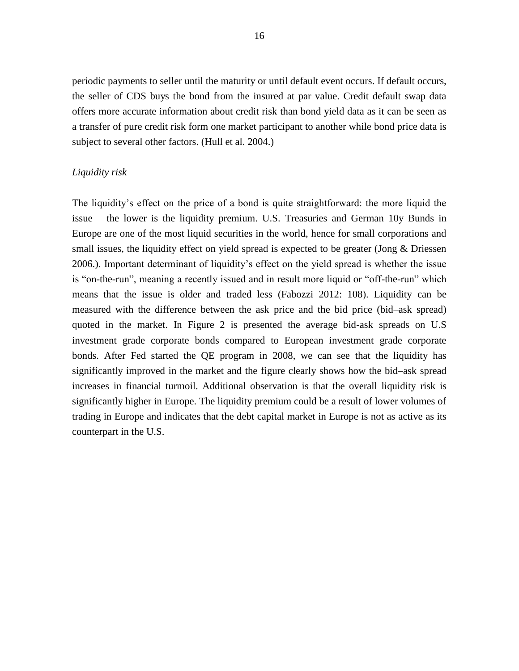periodic payments to seller until the maturity or until default event occurs. If default occurs, the seller of CDS buys the bond from the insured at par value. Credit default swap data offers more accurate information about credit risk than bond yield data as it can be seen as a transfer of pure credit risk form one market participant to another while bond price data is subject to several other factors. (Hull et al. 2004.)

## *Liquidity risk*

The liquidity's effect on the price of a bond is quite straightforward: the more liquid the issue – the lower is the liquidity premium. U.S. Treasuries and German 10y Bunds in Europe are one of the most liquid securities in the world, hence for small corporations and small issues, the liquidity effect on yield spread is expected to be greater (Jong & Driessen 2006.). Important determinant of liquidity's effect on the yield spread is whether the issue is "on-the-run", meaning a recently issued and in result more liquid or "off-the-run" which means that the issue is older and traded less (Fabozzi 2012: 108). Liquidity can be measured with the difference between the ask price and the bid price (bid–ask spread) quoted in the market. In Figure 2 is presented the average bid-ask spreads on U.S investment grade corporate bonds compared to European investment grade corporate bonds. After Fed started the QE program in 2008, we can see that the liquidity has significantly improved in the market and the figure clearly shows how the bid–ask spread increases in financial turmoil. Additional observation is that the overall liquidity risk is significantly higher in Europe. The liquidity premium could be a result of lower volumes of trading in Europe and indicates that the debt capital market in Europe is not as active as its counterpart in the U.S.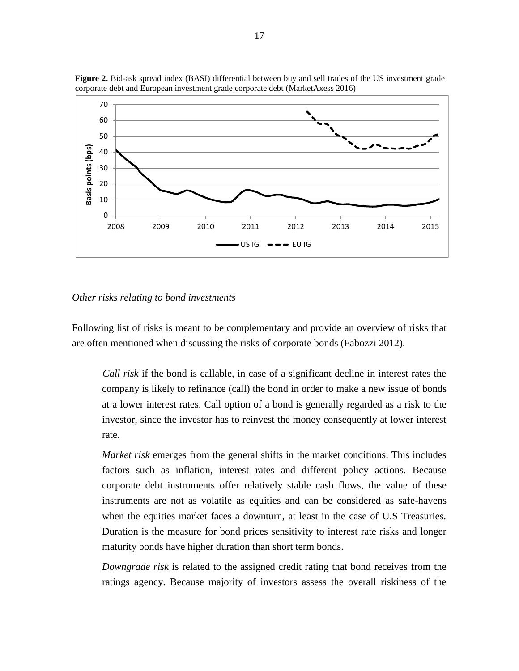

**Figure 2.** Bid-ask spread index (BASI) differential between buy and sell trades of the US investment grade corporate debt and European investment grade corporate debt (MarketAxess 2016)

#### *Other risks relating to bond investments*

Following list of risks is meant to be complementary and provide an overview of risks that are often mentioned when discussing the risks of corporate bonds (Fabozzi 2012).

*Call risk* if the bond is callable, in case of a significant decline in interest rates the company is likely to refinance (call) the bond in order to make a new issue of bonds at a lower interest rates. Call option of a bond is generally regarded as a risk to the investor, since the investor has to reinvest the money consequently at lower interest rate.

*Market risk* emerges from the general shifts in the market conditions. This includes factors such as inflation, interest rates and different policy actions. Because corporate debt instruments offer relatively stable cash flows, the value of these instruments are not as volatile as equities and can be considered as safe-havens when the equities market faces a downturn, at least in the case of U.S Treasuries. Duration is the measure for bond prices sensitivity to interest rate risks and longer maturity bonds have higher duration than short term bonds.

*Downgrade risk* is related to the assigned credit rating that bond receives from the ratings agency. Because majority of investors assess the overall riskiness of the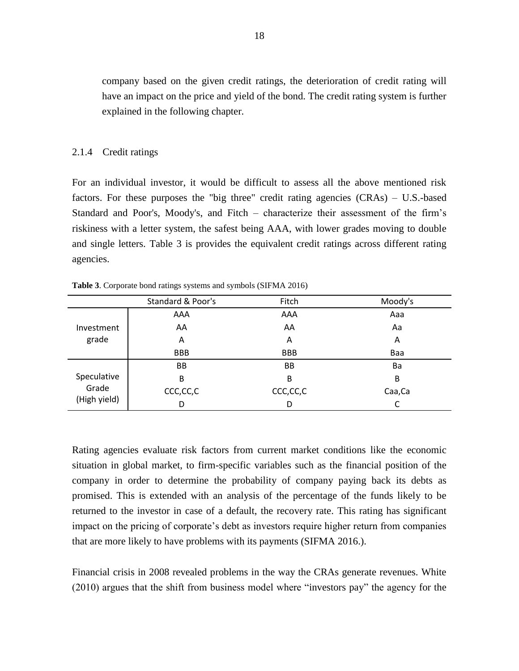company based on the given credit ratings, the deterioration of credit rating will have an impact on the price and yield of the bond. The credit rating system is further explained in the following chapter.

#### <span id="page-19-0"></span>2.1.4 Credit ratings

For an individual investor, it would be difficult to assess all the above mentioned risk factors. For these purposes the "big three" credit rating agencies (CRAs) – U.S.-based Standard and Poor's, Moody's, and Fitch – characterize their assessment of the firm's riskiness with a letter system, the safest being AAA, with lower grades moving to double and single letters. Table 3 is provides the equivalent credit ratings across different rating agencies.

|                                      | Standard & Poor's | Fitch      | Moody's |
|--------------------------------------|-------------------|------------|---------|
| Investment<br>grade                  | AAA               | AAA        | Aaa     |
|                                      | AA                | AA         | Aa      |
|                                      | Α                 | Α          | Α       |
|                                      | <b>BBB</b>        | <b>BBB</b> | Baa     |
|                                      | BB                | BB         | Ba      |
| Speculative<br>Grade<br>(High yield) | В                 | B          | B       |
|                                      | CCC,CC,C          | CCC,CC,C   | Caa, Ca |
|                                      | D                 | D          |         |

<span id="page-19-1"></span>**Table 3**. Corporate bond ratings systems and symbols (SIFMA 2016)

Rating agencies evaluate risk factors from current market conditions like the economic situation in global market, to firm-specific variables such as the financial position of the company in order to determine the probability of company paying back its debts as promised. This is extended with an analysis of the percentage of the funds likely to be returned to the investor in case of a default, the recovery rate. This rating has significant impact on the pricing of corporate's debt as investors require higher return from companies that are more likely to have problems with its payments (SIFMA 2016.).

Financial crisis in 2008 revealed problems in the way the CRAs generate revenues. White (2010) argues that the shift from business model where "investors pay" the agency for the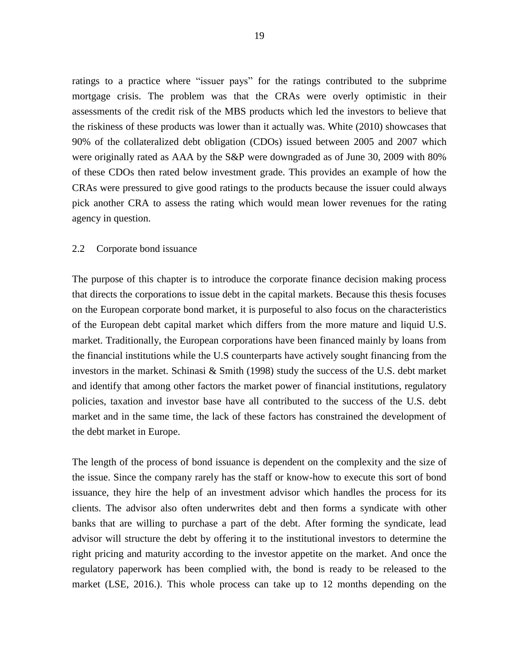ratings to a practice where "issuer pays" for the ratings contributed to the subprime mortgage crisis. The problem was that the CRAs were overly optimistic in their assessments of the credit risk of the MBS products which led the investors to believe that the riskiness of these products was lower than it actually was. White (2010) showcases that 90% of the collateralized debt obligation (CDOs) issued between 2005 and 2007 which were originally rated as AAA by the S&P were downgraded as of June 30, 2009 with 80% of these CDOs then rated below investment grade. This provides an example of how the CRAs were pressured to give good ratings to the products because the issuer could always pick another CRA to assess the rating which would mean lower revenues for the rating agency in question.

#### <span id="page-20-0"></span>2.2 Corporate bond issuance

The purpose of this chapter is to introduce the corporate finance decision making process that directs the corporations to issue debt in the capital markets. Because this thesis focuses on the European corporate bond market, it is purposeful to also focus on the characteristics of the European debt capital market which differs from the more mature and liquid U.S. market. Traditionally, the European corporations have been financed mainly by loans from the financial institutions while the U.S counterparts have actively sought financing from the investors in the market. Schinasi & Smith (1998) study the success of the U.S. debt market and identify that among other factors the market power of financial institutions, regulatory policies, taxation and investor base have all contributed to the success of the U.S. debt market and in the same time, the lack of these factors has constrained the development of the debt market in Europe.

The length of the process of bond issuance is dependent on the complexity and the size of the issue. Since the company rarely has the staff or know-how to execute this sort of bond issuance, they hire the help of an investment advisor which handles the process for its clients. The advisor also often underwrites debt and then forms a syndicate with other banks that are willing to purchase a part of the debt. After forming the syndicate, lead advisor will structure the debt by offering it to the institutional investors to determine the right pricing and maturity according to the investor appetite on the market. And once the regulatory paperwork has been complied with, the bond is ready to be released to the market (LSE, 2016.). This whole process can take up to 12 months depending on the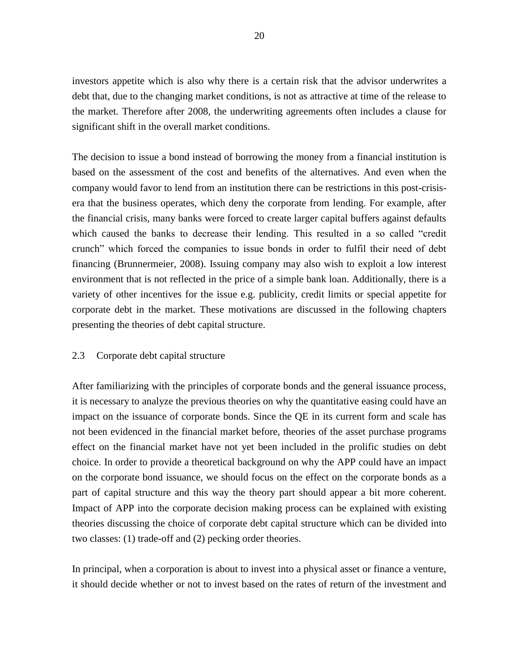investors appetite which is also why there is a certain risk that the advisor underwrites a debt that, due to the changing market conditions, is not as attractive at time of the release to the market*.* Therefore after 2008, the underwriting agreements often includes a clause for significant shift in the overall market conditions.

The decision to issue a bond instead of borrowing the money from a financial institution is based on the assessment of the cost and benefits of the alternatives. And even when the company would favor to lend from an institution there can be restrictions in this post-crisisera that the business operates, which deny the corporate from lending. For example, after the financial crisis, many banks were forced to create larger capital buffers against defaults which caused the banks to decrease their lending. This resulted in a so called "credit crunch" which forced the companies to issue bonds in order to fulfil their need of debt financing (Brunnermeier, 2008). Issuing company may also wish to exploit a low interest environment that is not reflected in the price of a simple bank loan. Additionally, there is a variety of other incentives for the issue e.g. publicity, credit limits or special appetite for corporate debt in the market. These motivations are discussed in the following chapters presenting the theories of debt capital structure.

## <span id="page-21-0"></span>2.3 Corporate debt capital structure

After familiarizing with the principles of corporate bonds and the general issuance process, it is necessary to analyze the previous theories on why the quantitative easing could have an impact on the issuance of corporate bonds. Since the QE in its current form and scale has not been evidenced in the financial market before, theories of the asset purchase programs effect on the financial market have not yet been included in the prolific studies on debt choice. In order to provide a theoretical background on why the APP could have an impact on the corporate bond issuance, we should focus on the effect on the corporate bonds as a part of capital structure and this way the theory part should appear a bit more coherent. Impact of APP into the corporate decision making process can be explained with existing theories discussing the choice of corporate debt capital structure which can be divided into two classes: (1) trade-off and (2) pecking order theories.

In principal, when a corporation is about to invest into a physical asset or finance a venture, it should decide whether or not to invest based on the rates of return of the investment and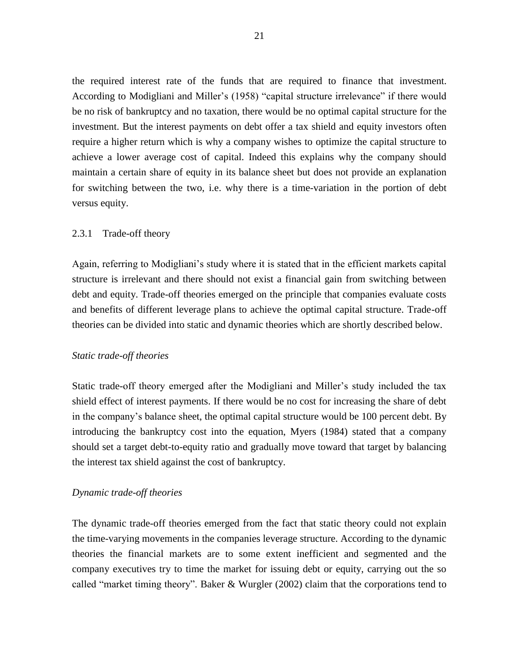the required interest rate of the funds that are required to finance that investment. According to Modigliani and Miller's (1958) "capital structure irrelevance" if there would be no risk of bankruptcy and no taxation, there would be no optimal capital structure for the investment. But the interest payments on debt offer a tax shield and equity investors often require a higher return which is why a company wishes to optimize the capital structure to achieve a lower average cost of capital. Indeed this explains why the company should maintain a certain share of equity in its balance sheet but does not provide an explanation for switching between the two, i.e. why there is a time-variation in the portion of debt versus equity.

#### <span id="page-22-0"></span>2.3.1 Trade-off theory

Again, referring to Modigliani's study where it is stated that in the efficient markets capital structure is irrelevant and there should not exist a financial gain from switching between debt and equity. Trade-off theories emerged on the principle that companies evaluate costs and benefits of different leverage plans to achieve the optimal capital structure. Trade-off theories can be divided into static and dynamic theories which are shortly described below.

#### *Static trade-off theories*

Static trade-off theory emerged after the Modigliani and Miller's study included the tax shield effect of interest payments. If there would be no cost for increasing the share of debt in the company's balance sheet, the optimal capital structure would be 100 percent debt. By introducing the bankruptcy cost into the equation, Myers (1984) stated that a company should set a target debt-to-equity ratio and gradually move toward that target by balancing the interest tax shield against the cost of bankruptcy.

#### *Dynamic trade-off theories*

The dynamic trade-off theories emerged from the fact that static theory could not explain the time-varying movements in the companies leverage structure. According to the dynamic theories the financial markets are to some extent inefficient and segmented and the company executives try to time the market for issuing debt or equity, carrying out the so called "market timing theory". Baker & Wurgler (2002) claim that the corporations tend to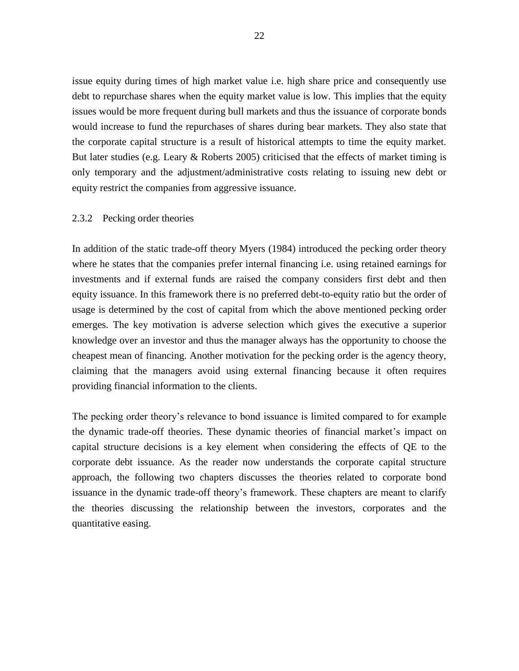issue equity during times of high market value i.e. high share price and consequently use debt to repurchase shares when the equity market value is low. This implies that the equity issues would be more frequent during bull markets and thus the issuance of corporate bonds would increase to fund the repurchases of shares during bear markets. They also state that the corporate capital structure is a result of historical attempts to time the equity market. But later studies (e.g. Leary & Roberts 2005) criticised that the effects of market timing is only temporary and the adjustment/administrative costs relating to issuing new debt or equity restrict the companies from aggressive issuance.

## <span id="page-23-0"></span>2.3.2 Pecking order theories

In addition of the static trade-off theory Myers (1984) introduced the pecking order theory where he states that the companies prefer internal financing i.e. using retained earnings for investments and if external funds are raised the company considers first debt and then equity issuance. In this framework there is no preferred debt-to-equity ratio but the order of usage is determined by the cost of capital from which the above mentioned pecking order emerges. The key motivation is adverse selection which gives the executive a superior knowledge over an investor and thus the manager always has the opportunity to choose the cheapest mean of financing. Another motivation for the pecking order is the agency theory, claiming that the managers avoid using external financing because it often requires providing financial information to the clients.

The pecking order theory's relevance to bond issuance is limited compared to for example the dynamic trade-off theories. These dynamic theories of financial market's impact on capital structure decisions is a key element when considering the effects of QE to the corporate debt issuance. As the reader now understands the corporate capital structure approach, the following two chapters discusses the theories related to corporate bond issuance in the dynamic trade-off theory's framework. These chapters are meant to clarify the theories discussing the relationship between the investors, corporates and the quantitative easing.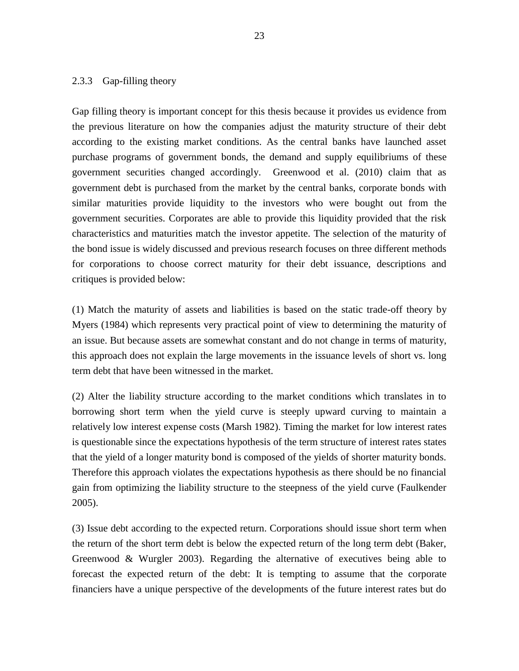## <span id="page-24-0"></span>2.3.3 Gap-filling theory

Gap filling theory is important concept for this thesis because it provides us evidence from the previous literature on how the companies adjust the maturity structure of their debt according to the existing market conditions. As the central banks have launched asset purchase programs of government bonds, the demand and supply equilibriums of these government securities changed accordingly. Greenwood et al. (2010) claim that as government debt is purchased from the market by the central banks, corporate bonds with similar maturities provide liquidity to the investors who were bought out from the government securities. Corporates are able to provide this liquidity provided that the risk characteristics and maturities match the investor appetite. The selection of the maturity of the bond issue is widely discussed and previous research focuses on three different methods for corporations to choose correct maturity for their debt issuance, descriptions and critiques is provided below:

(1) Match the maturity of assets and liabilities is based on the static trade-off theory by Myers (1984) which represents very practical point of view to determining the maturity of an issue. But because assets are somewhat constant and do not change in terms of maturity, this approach does not explain the large movements in the issuance levels of short vs. long term debt that have been witnessed in the market.

(2) Alter the liability structure according to the market conditions which translates in to borrowing short term when the yield curve is steeply upward curving to maintain a relatively low interest expense costs (Marsh 1982). Timing the market for low interest rates is questionable since the expectations hypothesis of the term structure of interest rates states that the yield of a longer maturity bond is composed of the yields of shorter maturity bonds. Therefore this approach violates the expectations hypothesis as there should be no financial gain from optimizing the liability structure to the steepness of the yield curve (Faulkender 2005).

(3) Issue debt according to the expected return. Corporations should issue short term when the return of the short term debt is below the expected return of the long term debt (Baker, Greenwood & Wurgler 2003). Regarding the alternative of executives being able to forecast the expected return of the debt: It is tempting to assume that the corporate financiers have a unique perspective of the developments of the future interest rates but do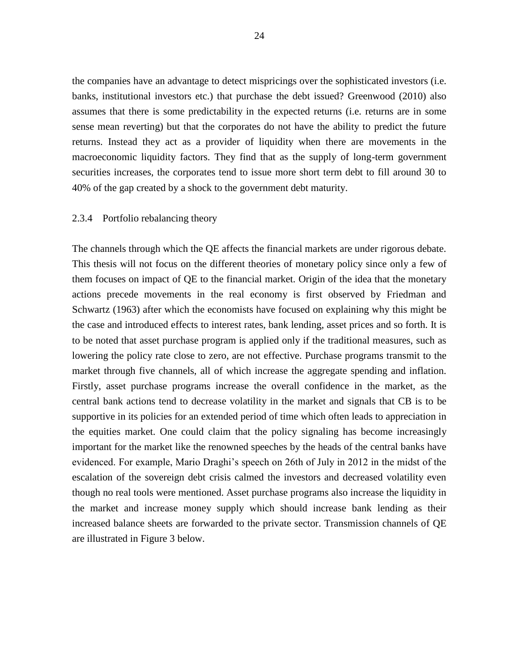the companies have an advantage to detect mispricings over the sophisticated investors (i.e. banks, institutional investors etc.) that purchase the debt issued? Greenwood (2010) also assumes that there is some predictability in the expected returns (i.e. returns are in some sense mean reverting) but that the corporates do not have the ability to predict the future returns. Instead they act as a provider of liquidity when there are movements in the macroeconomic liquidity factors. They find that as the supply of long-term government securities increases, the corporates tend to issue more short term debt to fill around 30 to 40% of the gap created by a shock to the government debt maturity.

## <span id="page-25-0"></span>2.3.4 Portfolio rebalancing theory

The channels through which the QE affects the financial markets are under rigorous debate. This thesis will not focus on the different theories of monetary policy since only a few of them focuses on impact of QE to the financial market. Origin of the idea that the monetary actions precede movements in the real economy is first observed by Friedman and Schwartz (1963) after which the economists have focused on explaining why this might be the case and introduced effects to interest rates, bank lending, asset prices and so forth. It is to be noted that asset purchase program is applied only if the traditional measures, such as lowering the policy rate close to zero, are not effective. Purchase programs transmit to the market through five channels, all of which increase the aggregate spending and inflation. Firstly, asset purchase programs increase the overall confidence in the market, as the central bank actions tend to decrease volatility in the market and signals that CB is to be supportive in its policies for an extended period of time which often leads to appreciation in the equities market. One could claim that the policy signaling has become increasingly important for the market like the renowned speeches by the heads of the central banks have evidenced. For example, Mario Draghi's speech on 26th of July in 2012 in the midst of the escalation of the sovereign debt crisis calmed the investors and decreased volatility even though no real tools were mentioned. Asset purchase programs also increase the liquidity in the market and increase money supply which should increase bank lending as their increased balance sheets are forwarded to the private sector. Transmission channels of QE are illustrated in Figure 3 below.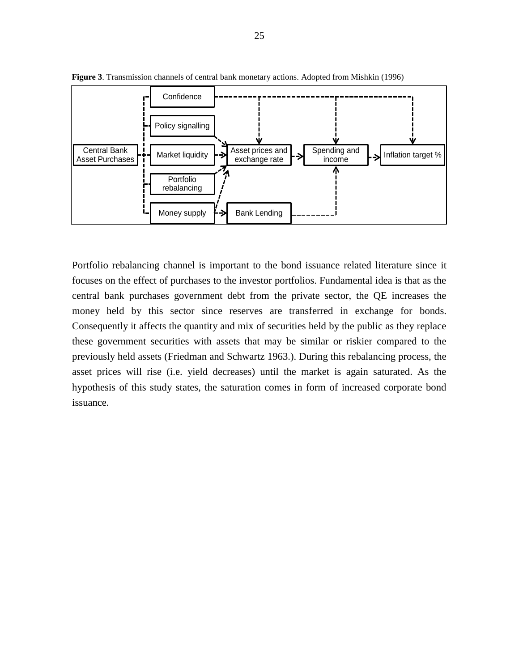

**Figure 3**. Transmission channels of central bank monetary actions. Adopted from Mishkin (1996)

Portfolio rebalancing channel is important to the bond issuance related literature since it focuses on the effect of purchases to the investor portfolios. Fundamental idea is that as the central bank purchases government debt from the private sector, the QE increases the money held by this sector since reserves are transferred in exchange for bonds. Consequently it affects the quantity and mix of securities held by the public as they replace these government securities with assets that may be similar or riskier compared to the previously held assets (Friedman and Schwartz 1963.). During this rebalancing process, the asset prices will rise (i.e. yield decreases) until the market is again saturated. As the hypothesis of this study states, the saturation comes in form of increased corporate bond issuance.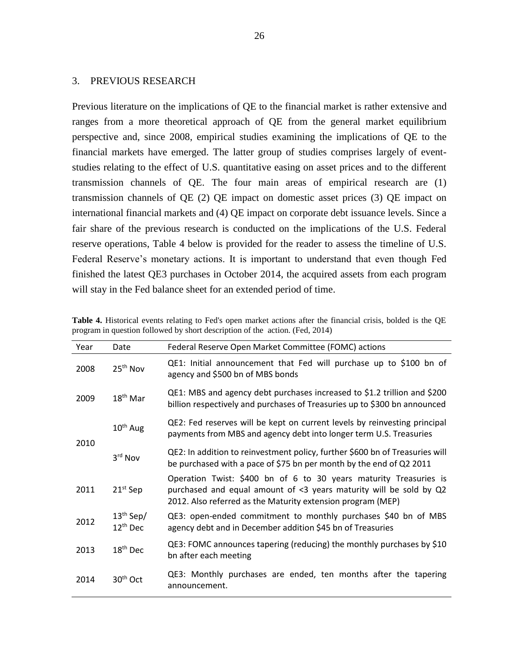## <span id="page-27-0"></span>3. PREVIOUS RESEARCH

Previous literature on the implications of QE to the financial market is rather extensive and ranges from a more theoretical approach of QE from the general market equilibrium perspective and, since 2008, empirical studies examining the implications of QE to the financial markets have emerged. The latter group of studies comprises largely of eventstudies relating to the effect of U.S. quantitative easing on asset prices and to the different transmission channels of QE. The four main areas of empirical research are (1) transmission channels of QE (2) QE impact on domestic asset prices (3) QE impact on international financial markets and (4) QE impact on corporate debt issuance levels. Since a fair share of the previous research is conducted on the implications of the U.S. Federal reserve operations, Table 4 below is provided for the reader to assess the timeline of U.S. Federal Reserve's monetary actions. It is important to understand that even though Fed finished the latest QE3 purchases in October 2014, the acquired assets from each program will stay in the Fed balance sheet for an extended period of time.

| Year | Date                         | Federal Reserve Open Market Committee (FOMC) actions                                                                                                                                                   |
|------|------------------------------|--------------------------------------------------------------------------------------------------------------------------------------------------------------------------------------------------------|
| 2008 | 25 <sup>th</sup> Nov         | QE1: Initial announcement that Fed will purchase up to \$100 bn of<br>agency and \$500 bn of MBS bonds                                                                                                 |
| 2009 | $18th$ Mar                   | QE1: MBS and agency debt purchases increased to \$1.2 trillion and \$200<br>billion respectively and purchases of Treasuries up to \$300 bn announced                                                  |
| 2010 | 10 <sup>th</sup> Aug         | QE2: Fed reserves will be kept on current levels by reinvesting principal<br>payments from MBS and agency debt into longer term U.S. Treasuries                                                        |
|      | 3rd Nov                      | QE2: In addition to reinvestment policy, further \$600 bn of Treasuries will<br>be purchased with a pace of \$75 bn per month by the end of Q2 2011                                                    |
| 2011 | $21st$ Sep                   | Operation Twist: \$400 bn of 6 to 30 years maturity Treasuries is<br>purchased and equal amount of <3 years maturity will be sold by Q2<br>2012. Also referred as the Maturity extension program (MEP) |
| 2012 | $13th$ Sep/<br>$12^{th}$ Dec | QE3: open-ended commitment to monthly purchases \$40 bn of MBS<br>agency debt and in December addition \$45 bn of Treasuries                                                                           |
| 2013 | 18 <sup>th</sup> Dec         | QE3: FOMC announces tapering (reducing) the monthly purchases by \$10<br>bn after each meeting                                                                                                         |
| 2014 | $30th$ Oct                   | QE3: Monthly purchases are ended, ten months after the tapering<br>announcement.                                                                                                                       |

<span id="page-27-1"></span>**Table 4.** Historical events relating to Fed's open market actions after the financial crisis, bolded is the QE program in question followed by short description of the action. (Fed, 2014)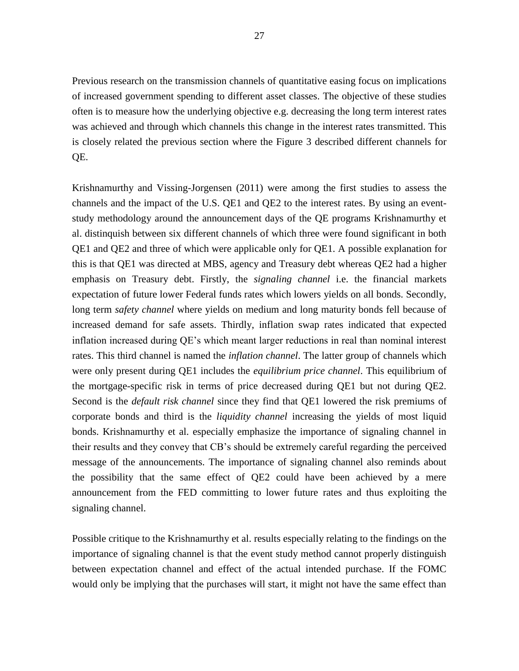Previous research on the transmission channels of quantitative easing focus on implications of increased government spending to different asset classes. The objective of these studies often is to measure how the underlying objective e.g. decreasing the long term interest rates was achieved and through which channels this change in the interest rates transmitted. This is closely related the previous section where the Figure 3 described different channels for QE.

Krishnamurthy and Vissing-Jorgensen (2011) were among the first studies to assess the channels and the impact of the U.S. QE1 and QE2 to the interest rates. By using an eventstudy methodology around the announcement days of the QE programs Krishnamurthy et al. distinquish between six different channels of which three were found significant in both QE1 and QE2 and three of which were applicable only for QE1. A possible explanation for this is that QE1 was directed at MBS, agency and Treasury debt whereas QE2 had a higher emphasis on Treasury debt. Firstly, the *signaling channel* i.e. the financial markets expectation of future lower Federal funds rates which lowers yields on all bonds. Secondly, long term *safety channel* where yields on medium and long maturity bonds fell because of increased demand for safe assets. Thirdly, inflation swap rates indicated that expected inflation increased during QE's which meant larger reductions in real than nominal interest rates. This third channel is named the *inflation channel*. The latter group of channels which were only present during QE1 includes the *equilibrium price channel*. This equilibrium of the mortgage-specific risk in terms of price decreased during QE1 but not during QE2. Second is the *default risk channel* since they find that QE1 lowered the risk premiums of corporate bonds and third is the *liquidity channel* increasing the yields of most liquid bonds. Krishnamurthy et al. especially emphasize the importance of signaling channel in their results and they convey that CB's should be extremely careful regarding the perceived message of the announcements. The importance of signaling channel also reminds about the possibility that the same effect of QE2 could have been achieved by a mere announcement from the FED committing to lower future rates and thus exploiting the signaling channel.

Possible critique to the Krishnamurthy et al. results especially relating to the findings on the importance of signaling channel is that the event study method cannot properly distinguish between expectation channel and effect of the actual intended purchase. If the FOMC would only be implying that the purchases will start, it might not have the same effect than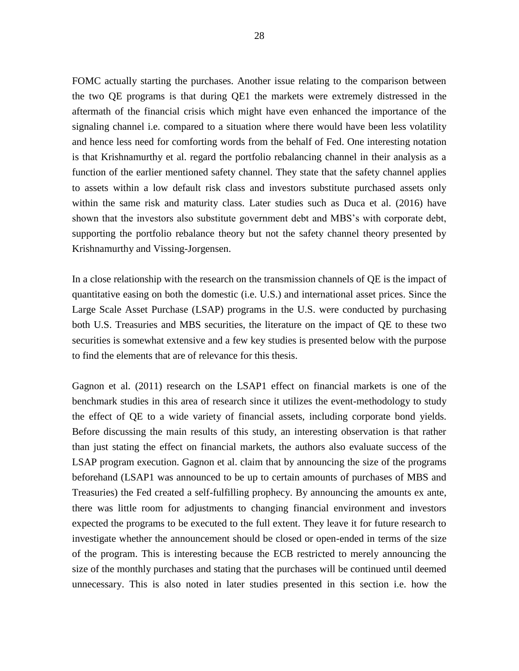FOMC actually starting the purchases. Another issue relating to the comparison between the two QE programs is that during QE1 the markets were extremely distressed in the aftermath of the financial crisis which might have even enhanced the importance of the signaling channel i.e. compared to a situation where there would have been less volatility and hence less need for comforting words from the behalf of Fed. One interesting notation is that Krishnamurthy et al. regard the portfolio rebalancing channel in their analysis as a function of the earlier mentioned safety channel. They state that the safety channel applies to assets within a low default risk class and investors substitute purchased assets only within the same risk and maturity class. Later studies such as Duca et al. (2016) have shown that the investors also substitute government debt and MBS's with corporate debt, supporting the portfolio rebalance theory but not the safety channel theory presented by Krishnamurthy and Vissing-Jorgensen.

In a close relationship with the research on the transmission channels of QE is the impact of quantitative easing on both the domestic (i.e. U.S.) and international asset prices. Since the Large Scale Asset Purchase (LSAP) programs in the U.S. were conducted by purchasing both U.S. Treasuries and MBS securities, the literature on the impact of QE to these two securities is somewhat extensive and a few key studies is presented below with the purpose to find the elements that are of relevance for this thesis.

Gagnon et al. (2011) research on the LSAP1 effect on financial markets is one of the benchmark studies in this area of research since it utilizes the event-methodology to study the effect of QE to a wide variety of financial assets, including corporate bond yields. Before discussing the main results of this study, an interesting observation is that rather than just stating the effect on financial markets, the authors also evaluate success of the LSAP program execution. Gagnon et al. claim that by announcing the size of the programs beforehand (LSAP1 was announced to be up to certain amounts of purchases of MBS and Treasuries) the Fed created a self-fulfilling prophecy. By announcing the amounts ex ante, there was little room for adjustments to changing financial environment and investors expected the programs to be executed to the full extent. They leave it for future research to investigate whether the announcement should be closed or open-ended in terms of the size of the program. This is interesting because the ECB restricted to merely announcing the size of the monthly purchases and stating that the purchases will be continued until deemed unnecessary. This is also noted in later studies presented in this section i.e. how the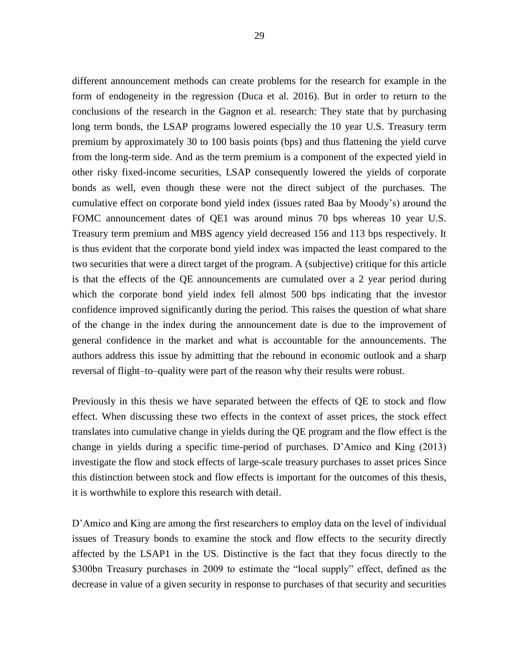different announcement methods can create problems for the research for example in the form of endogeneity in the regression (Duca et al. 2016). But in order to return to the conclusions of the research in the Gagnon et al. research: They state that by purchasing long term bonds, the LSAP programs lowered especially the 10 year U.S. Treasury term premium by approximately 30 to 100 basis points (bps) and thus flattening the yield curve from the long-term side. And as the term premium is a component of the expected yield in other risky fixed-income securities, LSAP consequently lowered the yields of corporate bonds as well, even though these were not the direct subject of the purchases. The cumulative effect on corporate bond yield index (issues rated Baa by Moody's) around the FOMC announcement dates of QE1 was around minus 70 bps whereas 10 year U.S. Treasury term premium and MBS agency yield decreased 156 and 113 bps respectively. It is thus evident that the corporate bond yield index was impacted the least compared to the two securities that were a direct target of the program. A (subjective) critique for this article is that the effects of the QE announcements are cumulated over a 2 year period during which the corporate bond yield index fell almost 500 bps indicating that the investor confidence improved significantly during the period. This raises the question of what share of the change in the index during the announcement date is due to the improvement of general confidence in the market and what is accountable for the announcements. The authors address this issue by admitting that the rebound in economic outlook and a sharp

Previously in this thesis we have separated between the effects of QE to stock and flow effect. When discussing these two effects in the context of asset prices, the stock effect translates into cumulative change in yields during the QE program and the flow effect is the change in yields during a specific time-period of purchases. D'Amico and King (2013) investigate the flow and stock effects of large-scale treasury purchases to asset prices Since this distinction between stock and flow effects is important for the outcomes of this thesis, it is worthwhile to explore this research with detail.

reversal of flight–to–quality were part of the reason why their results were robust.

D'Amico and King are among the first researchers to employ data on the level of individual issues of Treasury bonds to examine the stock and flow effects to the security directly affected by the LSAP1 in the US. Distinctive is the fact that they focus directly to the \$300bn Treasury purchases in 2009 to estimate the "local supply" effect, defined as the decrease in value of a given security in response to purchases of that security and securities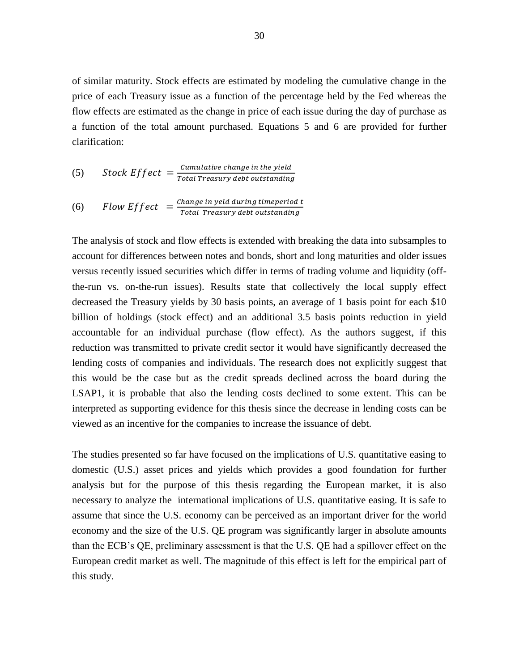of similar maturity. Stock effects are estimated by modeling the cumulative change in the price of each Treasury issue as a function of the percentage held by the Fed whereas the flow effects are estimated as the change in price of each issue during the day of purchase as a function of the total amount purchased. Equations 5 and 6 are provided for further clarification:

(5) Stock Effect = 
$$
\frac{Cumulative \ change \ in \ the \ yield}{Total \ Treasury \ debt \ outstanding}
$$

(6) *Flow Effect* = 
$$
\frac{\text{Change in yield during time period t}}{\text{Total Treasury debt outstanding}}
$$

The analysis of stock and flow effects is extended with breaking the data into subsamples to account for differences between notes and bonds, short and long maturities and older issues versus recently issued securities which differ in terms of trading volume and liquidity (offthe-run vs. on-the-run issues). Results state that collectively the local supply effect decreased the Treasury yields by 30 basis points, an average of 1 basis point for each \$10 billion of holdings (stock effect) and an additional 3.5 basis points reduction in yield accountable for an individual purchase (flow effect). As the authors suggest, if this reduction was transmitted to private credit sector it would have significantly decreased the lending costs of companies and individuals. The research does not explicitly suggest that this would be the case but as the credit spreads declined across the board during the LSAP1, it is probable that also the lending costs declined to some extent. This can be interpreted as supporting evidence for this thesis since the decrease in lending costs can be viewed as an incentive for the companies to increase the issuance of debt.

The studies presented so far have focused on the implications of U.S. quantitative easing to domestic (U.S.) asset prices and yields which provides a good foundation for further analysis but for the purpose of this thesis regarding the European market, it is also necessary to analyze the international implications of U.S. quantitative easing. It is safe to assume that since the U.S. economy can be perceived as an important driver for the world economy and the size of the U.S. QE program was significantly larger in absolute amounts than the ECB's QE, preliminary assessment is that the U.S. QE had a spillover effect on the European credit market as well. The magnitude of this effect is left for the empirical part of this study.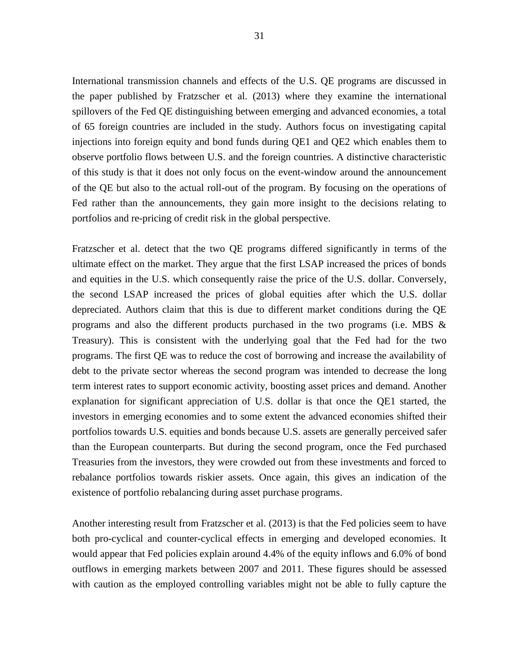International transmission channels and effects of the U.S. QE programs are discussed in the paper published by Fratzscher et al. (2013) where they examine the international spillovers of the Fed QE distinguishing between emerging and advanced economies, a total of 65 foreign countries are included in the study. Authors focus on investigating capital injections into foreign equity and bond funds during QE1 and QE2 which enables them to observe portfolio flows between U.S. and the foreign countries. A distinctive characteristic of this study is that it does not only focus on the event-window around the announcement of the QE but also to the actual roll-out of the program. By focusing on the operations of Fed rather than the announcements, they gain more insight to the decisions relating to portfolios and re-pricing of credit risk in the global perspective.

Fratzscher et al. detect that the two QE programs differed significantly in terms of the ultimate effect on the market. They argue that the first LSAP increased the prices of bonds and equities in the U.S. which consequently raise the price of the U.S. dollar. Conversely, the second LSAP increased the prices of global equities after which the U.S. dollar depreciated. Authors claim that this is due to different market conditions during the QE programs and also the different products purchased in the two programs (i.e. MBS & Treasury). This is consistent with the underlying goal that the Fed had for the two programs. The first QE was to reduce the cost of borrowing and increase the availability of debt to the private sector whereas the second program was intended to decrease the long term interest rates to support economic activity, boosting asset prices and demand. Another explanation for significant appreciation of U.S. dollar is that once the QE1 started, the investors in emerging economies and to some extent the advanced economies shifted their portfolios towards U.S. equities and bonds because U.S. assets are generally perceived safer than the European counterparts. But during the second program, once the Fed purchased Treasuries from the investors, they were crowded out from these investments and forced to rebalance portfolios towards riskier assets. Once again, this gives an indication of the existence of portfolio rebalancing during asset purchase programs.

Another interesting result from Fratzscher et al. (2013) is that the Fed policies seem to have both pro-cyclical and counter-cyclical effects in emerging and developed economies. It would appear that Fed policies explain around 4.4% of the equity inflows and 6.0% of bond outflows in emerging markets between 2007 and 2011. These figures should be assessed with caution as the employed controlling variables might not be able to fully capture the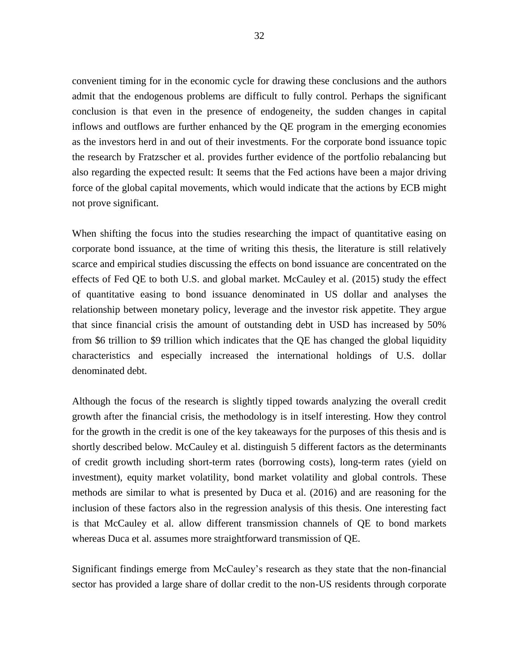convenient timing for in the economic cycle for drawing these conclusions and the authors admit that the endogenous problems are difficult to fully control. Perhaps the significant conclusion is that even in the presence of endogeneity, the sudden changes in capital inflows and outflows are further enhanced by the QE program in the emerging economies as the investors herd in and out of their investments. For the corporate bond issuance topic the research by Fratzscher et al. provides further evidence of the portfolio rebalancing but also regarding the expected result: It seems that the Fed actions have been a major driving force of the global capital movements, which would indicate that the actions by ECB might not prove significant.

When shifting the focus into the studies researching the impact of quantitative easing on corporate bond issuance, at the time of writing this thesis, the literature is still relatively scarce and empirical studies discussing the effects on bond issuance are concentrated on the effects of Fed QE to both U.S. and global market. McCauley et al. (2015) study the effect of quantitative easing to bond issuance denominated in US dollar and analyses the relationship between monetary policy, leverage and the investor risk appetite. They argue that since financial crisis the amount of outstanding debt in USD has increased by 50% from \$6 trillion to \$9 trillion which indicates that the QE has changed the global liquidity characteristics and especially increased the international holdings of U.S. dollar denominated debt.

Although the focus of the research is slightly tipped towards analyzing the overall credit growth after the financial crisis, the methodology is in itself interesting. How they control for the growth in the credit is one of the key takeaways for the purposes of this thesis and is shortly described below. McCauley et al. distinguish 5 different factors as the determinants of credit growth including short-term rates (borrowing costs), long-term rates (yield on investment), equity market volatility, bond market volatility and global controls. These methods are similar to what is presented by Duca et al. (2016) and are reasoning for the inclusion of these factors also in the regression analysis of this thesis. One interesting fact is that McCauley et al. allow different transmission channels of QE to bond markets whereas Duca et al. assumes more straightforward transmission of QE.

Significant findings emerge from McCauley's research as they state that the non-financial sector has provided a large share of dollar credit to the non-US residents through corporate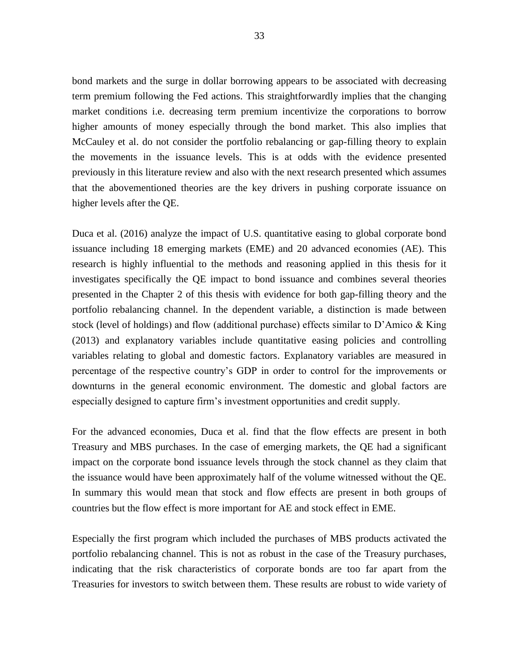bond markets and the surge in dollar borrowing appears to be associated with decreasing term premium following the Fed actions. This straightforwardly implies that the changing market conditions i.e. decreasing term premium incentivize the corporations to borrow higher amounts of money especially through the bond market. This also implies that McCauley et al. do not consider the portfolio rebalancing or gap-filling theory to explain the movements in the issuance levels. This is at odds with the evidence presented previously in this literature review and also with the next research presented which assumes that the abovementioned theories are the key drivers in pushing corporate issuance on higher levels after the QE.

Duca et al. (2016) analyze the impact of U.S. quantitative easing to global corporate bond issuance including 18 emerging markets (EME) and 20 advanced economies (AE). This research is highly influential to the methods and reasoning applied in this thesis for it investigates specifically the QE impact to bond issuance and combines several theories presented in the Chapter 2 of this thesis with evidence for both gap-filling theory and the portfolio rebalancing channel. In the dependent variable, a distinction is made between stock (level of holdings) and flow (additional purchase) effects similar to D'Amico & King (2013) and explanatory variables include quantitative easing policies and controlling variables relating to global and domestic factors. Explanatory variables are measured in percentage of the respective country's GDP in order to control for the improvements or downturns in the general economic environment. The domestic and global factors are especially designed to capture firm's investment opportunities and credit supply.

For the advanced economies, Duca et al. find that the flow effects are present in both Treasury and MBS purchases. In the case of emerging markets, the QE had a significant impact on the corporate bond issuance levels through the stock channel as they claim that the issuance would have been approximately half of the volume witnessed without the QE. In summary this would mean that stock and flow effects are present in both groups of countries but the flow effect is more important for AE and stock effect in EME.

Especially the first program which included the purchases of MBS products activated the portfolio rebalancing channel. This is not as robust in the case of the Treasury purchases, indicating that the risk characteristics of corporate bonds are too far apart from the Treasuries for investors to switch between them. These results are robust to wide variety of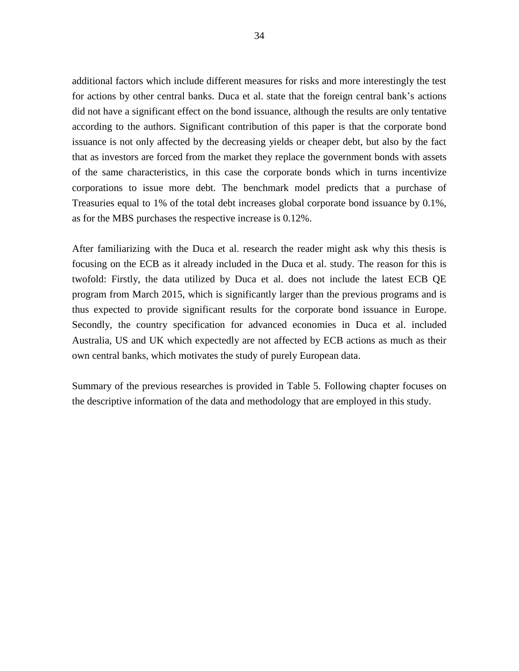additional factors which include different measures for risks and more interestingly the test for actions by other central banks. Duca et al. state that the foreign central bank's actions did not have a significant effect on the bond issuance, although the results are only tentative according to the authors. Significant contribution of this paper is that the corporate bond issuance is not only affected by the decreasing yields or cheaper debt, but also by the fact that as investors are forced from the market they replace the government bonds with assets of the same characteristics, in this case the corporate bonds which in turns incentivize corporations to issue more debt. The benchmark model predicts that a purchase of Treasuries equal to 1% of the total debt increases global corporate bond issuance by 0.1%, as for the MBS purchases the respective increase is 0.12%.

After familiarizing with the Duca et al. research the reader might ask why this thesis is focusing on the ECB as it already included in the Duca et al. study. The reason for this is twofold: Firstly, the data utilized by Duca et al. does not include the latest ECB QE program from March 2015, which is significantly larger than the previous programs and is thus expected to provide significant results for the corporate bond issuance in Europe. Secondly, the country specification for advanced economies in Duca et al. included Australia, US and UK which expectedly are not affected by ECB actions as much as their own central banks, which motivates the study of purely European data.

Summary of the previous researches is provided in Table 5. Following chapter focuses on the descriptive information of the data and methodology that are employed in this study.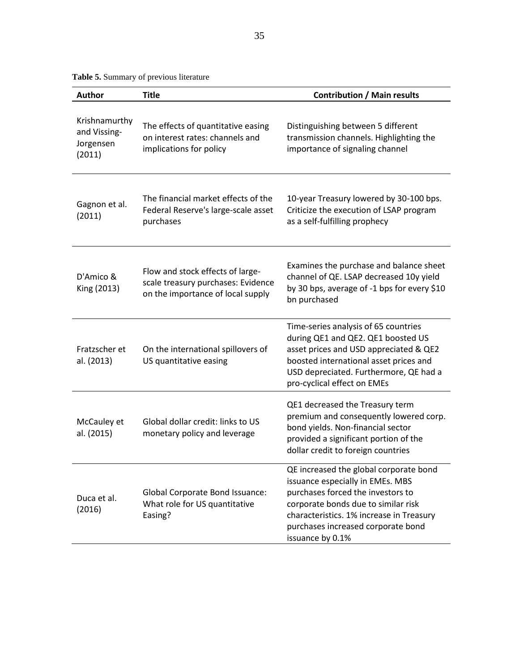<span id="page-36-0"></span>**Table 5.** Summary of previous literature

| <b>Author</b>                                        | <b>Title</b>                                                                                                | <b>Contribution / Main results</b>                                                                                                                                                                                                                           |
|------------------------------------------------------|-------------------------------------------------------------------------------------------------------------|--------------------------------------------------------------------------------------------------------------------------------------------------------------------------------------------------------------------------------------------------------------|
| Krishnamurthy<br>and Vissing-<br>Jorgensen<br>(2011) | The effects of quantitative easing<br>on interest rates: channels and<br>implications for policy            | Distinguishing between 5 different<br>transmission channels. Highlighting the<br>importance of signaling channel                                                                                                                                             |
| Gagnon et al.<br>(2011)                              | The financial market effects of the<br>Federal Reserve's large-scale asset<br>purchases                     | 10-year Treasury lowered by 30-100 bps.<br>Criticize the execution of LSAP program<br>as a self-fulfilling prophecy                                                                                                                                          |
| D'Amico &<br>King (2013)                             | Flow and stock effects of large-<br>scale treasury purchases: Evidence<br>on the importance of local supply | Examines the purchase and balance sheet<br>channel of QE. LSAP decreased 10y yield<br>by 30 bps, average of -1 bps for every \$10<br>bn purchased                                                                                                            |
| Fratzscher et<br>al. (2013)                          | On the international spillovers of<br>US quantitative easing                                                | Time-series analysis of 65 countries<br>during QE1 and QE2. QE1 boosted US<br>asset prices and USD appreciated & QE2<br>boosted international asset prices and<br>USD depreciated. Furthermore, QE had a<br>pro-cyclical effect on EMEs                      |
| McCauley et<br>al. (2015)                            | Global dollar credit: links to US<br>monetary policy and leverage                                           | QE1 decreased the Treasury term<br>premium and consequently lowered corp.<br>bond yields. Non-financial sector<br>provided a significant portion of the<br>dollar credit to foreign countries                                                                |
| Duca et al.<br>(2016)                                | <b>Global Corporate Bond Issuance:</b><br>What role for US quantitative<br>Easing?                          | QE increased the global corporate bond<br>issuance especially in EMEs. MBS<br>purchases forced the investors to<br>corporate bonds due to similar risk<br>characteristics. 1% increase in Treasury<br>purchases increased corporate bond<br>issuance by 0.1% |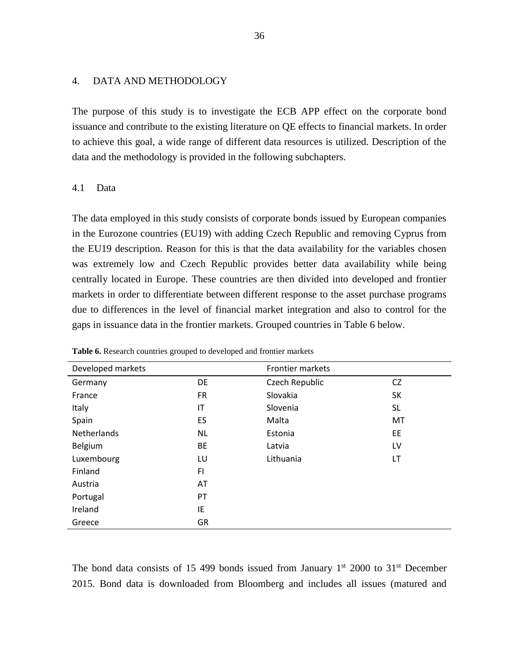## <span id="page-37-0"></span>4. DATA AND METHODOLOGY

The purpose of this study is to investigate the ECB APP effect on the corporate bond issuance and contribute to the existing literature on QE effects to financial markets. In order to achieve this goal, a wide range of different data resources is utilized. Description of the data and the methodology is provided in the following subchapters.

## <span id="page-37-1"></span>4.1 Data

The data employed in this study consists of corporate bonds issued by European companies in the Eurozone countries (EU19) with adding Czech Republic and removing Cyprus from the EU19 description. Reason for this is that the data availability for the variables chosen was extremely low and Czech Republic provides better data availability while being centrally located in Europe. These countries are then divided into developed and frontier markets in order to differentiate between different response to the asset purchase programs due to differences in the level of financial market integration and also to control for the gaps in issuance data in the frontier markets. Grouped countries in Table 6 below.

| Developed markets  |           | Frontier markets |           |
|--------------------|-----------|------------------|-----------|
| Germany            | DE        | Czech Republic   | <b>CZ</b> |
| France             | <b>FR</b> | Slovakia         | SK        |
| Italy              | IT        | Slovenia         | <b>SL</b> |
| Spain              | ES        | Malta            | MT        |
| <b>Netherlands</b> | <b>NL</b> | Estonia          | EE        |
| Belgium            | BE        | Latvia           | LV        |
| Luxembourg         | LU        | Lithuania        | LT        |
| Finland            | F1        |                  |           |
| Austria            | AT        |                  |           |
| Portugal           | PT        |                  |           |
| Ireland            | IE        |                  |           |
| Greece             | GR        |                  |           |
|                    |           |                  |           |

<span id="page-37-2"></span>**Table 6.** Research countries grouped to developed and frontier markets

The bond data consists of 15 499 bonds issued from January  $1<sup>st</sup>$  2000 to 31<sup>st</sup> December 2015. Bond data is downloaded from Bloomberg and includes all issues (matured and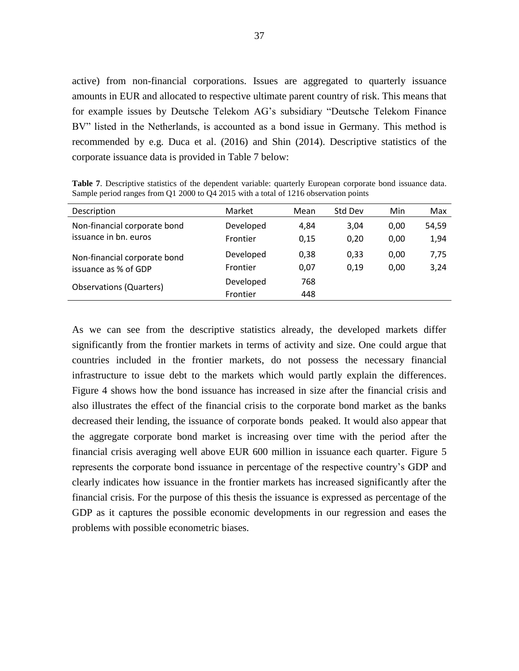active) from non-financial corporations. Issues are aggregated to quarterly issuance amounts in EUR and allocated to respective ultimate parent country of risk. This means that for example issues by Deutsche Telekom AG's subsidiary "Deutsche Telekom Finance BV" listed in the Netherlands, is accounted as a bond issue in Germany. This method is recommended by e.g. Duca et al. (2016) and Shin (2014). Descriptive statistics of the corporate issuance data is provided in Table 7 below:

<span id="page-38-0"></span>**Table 7**. Descriptive statistics of the dependent variable: quarterly European corporate bond issuance data. Sample period ranges from Q1 2000 to Q4 2015 with a total of 1216 observation points

| Description                    | Market    | Mean | Std Dev | Min  | Max   |
|--------------------------------|-----------|------|---------|------|-------|
| Non-financial corporate bond   | Developed | 4,84 | 3,04    | 0,00 | 54,59 |
| issuance in bn. euros          | Frontier  | 0,15 | 0.20    | 0,00 | 1,94  |
| Non-financial corporate bond   | Developed | 0.38 | 0,33    | 0,00 | 7,75  |
| issuance as % of GDP           | Frontier  | 0,07 | 0.19    | 0,00 | 3,24  |
| <b>Observations (Quarters)</b> | Developed | 768  |         |      |       |
|                                | Frontier  | 448  |         |      |       |

As we can see from the descriptive statistics already, the developed markets differ significantly from the frontier markets in terms of activity and size. One could argue that countries included in the frontier markets, do not possess the necessary financial infrastructure to issue debt to the markets which would partly explain the differences. Figure 4 shows how the bond issuance has increased in size after the financial crisis and also illustrates the effect of the financial crisis to the corporate bond market as the banks decreased their lending, the issuance of corporate bonds peaked. It would also appear that the aggregate corporate bond market is increasing over time with the period after the financial crisis averaging well above EUR 600 million in issuance each quarter. Figure 5 represents the corporate bond issuance in percentage of the respective country's GDP and clearly indicates how issuance in the frontier markets has increased significantly after the financial crisis. For the purpose of this thesis the issuance is expressed as percentage of the GDP as it captures the possible economic developments in our regression and eases the problems with possible econometric biases.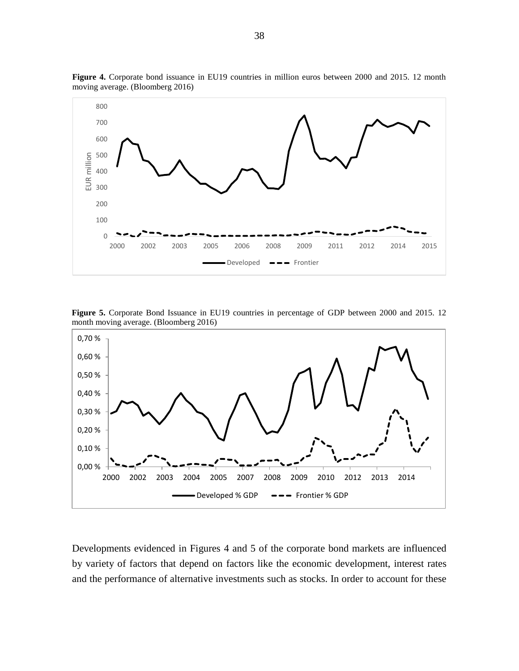

**Figure 4.** Corporate bond issuance in EU19 countries in million euros between 2000 and 2015. 12 month moving average. (Bloomberg 2016)

**Figure 5.** Corporate Bond Issuance in EU19 countries in percentage of GDP between 2000 and 2015. 12 month moving average. (Bloomberg 2016)



Developments evidenced in Figures 4 and 5 of the corporate bond markets are influenced by variety of factors that depend on factors like the economic development, interest rates and the performance of alternative investments such as stocks. In order to account for these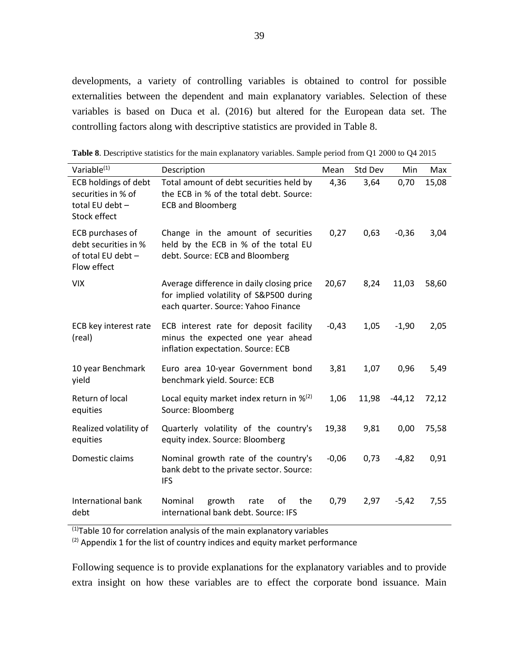developments, a variety of controlling variables is obtained to control for possible externalities between the dependent and main explanatory variables. Selection of these variables is based on Duca et al. (2016) but altered for the European data set. The controlling factors along with descriptive statistics are provided in Table 8.

| Variable <sup>(1)</sup>                                                              | Description                                                                                                                 | Mean    | Std Dev | Min      | Max   |
|--------------------------------------------------------------------------------------|-----------------------------------------------------------------------------------------------------------------------------|---------|---------|----------|-------|
| <b>ECB holdings of debt</b><br>securities in % of<br>total EU debt -<br>Stock effect | Total amount of debt securities held by<br>the ECB in % of the total debt. Source:<br><b>ECB and Bloomberg</b>              | 4,36    | 3,64    | 0,70     | 15,08 |
| ECB purchases of<br>debt securities in %<br>of total EU debt -<br>Flow effect        | Change in the amount of securities<br>held by the ECB in % of the total EU<br>debt. Source: ECB and Bloomberg               | 0,27    | 0,63    | $-0,36$  | 3,04  |
| <b>VIX</b>                                                                           | Average difference in daily closing price<br>for implied volatility of S&P500 during<br>each quarter. Source: Yahoo Finance | 20,67   | 8,24    | 11,03    | 58,60 |
| ECB key interest rate<br>(real)                                                      | ECB interest rate for deposit facility<br>minus the expected one year ahead<br>inflation expectation. Source: ECB           | $-0,43$ | 1,05    | $-1,90$  | 2,05  |
| 10 year Benchmark<br>yield                                                           | Euro area 10-year Government bond<br>benchmark yield. Source: ECB                                                           | 3,81    | 1,07    | 0,96     | 5,49  |
| Return of local<br>equities                                                          | Local equity market index return in $\frac{1}{2}$ <sup>(2)</sup><br>Source: Bloomberg                                       | 1,06    | 11,98   | $-44,12$ | 72,12 |
| Realized volatility of<br>equities                                                   | Quarterly volatility of the country's<br>equity index. Source: Bloomberg                                                    | 19,38   | 9,81    | 0,00     | 75,58 |
| Domestic claims                                                                      | Nominal growth rate of the country's<br>bank debt to the private sector. Source:<br><b>IFS</b>                              | $-0,06$ | 0,73    | $-4,82$  | 0,91  |
| International bank<br>debt                                                           | Nominal<br>growth<br>of<br>the<br>rate<br>international bank debt. Source: IFS                                              | 0,79    | 2,97    | $-5,42$  | 7,55  |

<span id="page-40-0"></span>**Table 8**. Descriptive statistics for the main explanatory variables. Sample period from Q1 2000 to Q4 2015

 $\frac{(1)}{(1)}$ Table 10 for correlation analysis of the main explanatory variables

 $(2)$  Appendix 1 for the list of country indices and equity market performance

Following sequence is to provide explanations for the explanatory variables and to provide extra insight on how these variables are to effect the corporate bond issuance. Main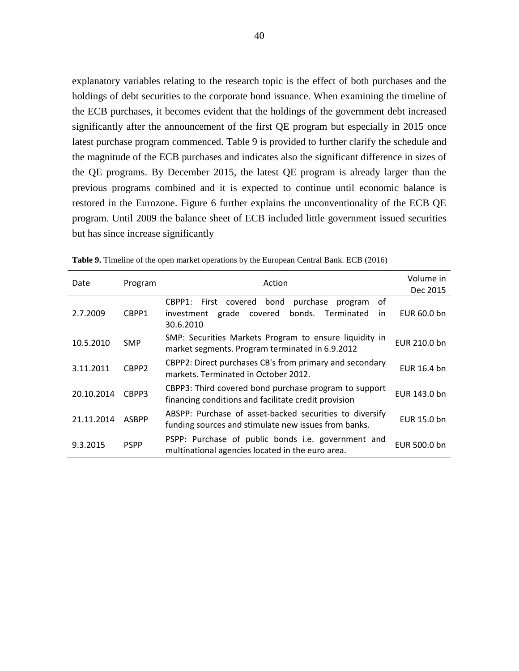explanatory variables relating to the research topic is the effect of both purchases and the holdings of debt securities to the corporate bond issuance. When examining the timeline of the ECB purchases, it becomes evident that the holdings of the government debt increased significantly after the announcement of the first QE program but especially in 2015 once latest purchase program commenced. Table 9 is provided to further clarify the schedule and the magnitude of the ECB purchases and indicates also the significant difference in sizes of the QE programs. By December 2015, the latest QE program is already larger than the previous programs combined and it is expected to continue until economic balance is restored in the Eurozone. Figure 6 further explains the unconventionality of the ECB QE program. Until 2009 the balance sheet of ECB included little government issued securities but has since increase significantly

| Date       | Program      | Action                                                                                                                                 | Volume in<br>Dec 2015 |
|------------|--------------|----------------------------------------------------------------------------------------------------------------------------------------|-----------------------|
| 2.7.2009   | CBPP1        | οf<br>CBPP1: First covered<br>bond<br>purchase<br>program<br>bonds.<br>covered<br>Terminated<br>grade<br>investment<br>in<br>30.6.2010 | EUR 60.0 bn           |
| 10.5.2010  | <b>SMP</b>   | SMP: Securities Markets Program to ensure liquidity in<br>market segments. Program terminated in 6.9.2012                              | EUR 210.0 bn          |
| 3.11.2011  | CBPP2        | CBPP2: Direct purchases CB's from primary and secondary<br>markets. Terminated in October 2012.                                        | EUR 16.4 bn           |
| 20.10.2014 | CBPP3        | CBPP3: Third covered bond purchase program to support<br>financing conditions and facilitate credit provision                          | EUR 143.0 bn          |
| 21.11.2014 | <b>ASBPP</b> | ABSPP: Purchase of asset-backed securities to diversify<br>funding sources and stimulate new issues from banks.                        | EUR 15.0 bn           |
| 9.3.2015   | <b>PSPP</b>  | PSPP: Purchase of public bonds i.e. government and<br>multinational agencies located in the euro area.                                 | EUR 500.0 bn          |

<span id="page-41-0"></span>**Table 9.** Timeline of the open market operations by the European Central Bank. ECB (2016)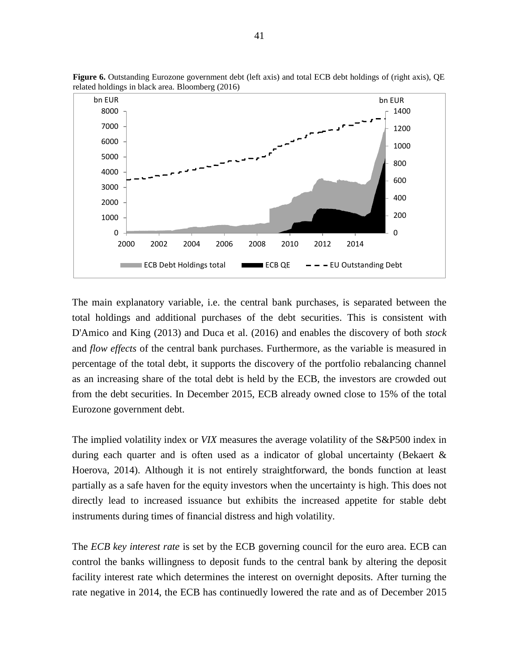

**Figure 6.** Outstanding Eurozone government debt (left axis) and total ECB debt holdings of (right axis), QE related holdings in black area. Bloomberg (2016)

The main explanatory variable, i.e. the central bank purchases, is separated between the total holdings and additional purchases of the debt securities. This is consistent with D'Amico and King (2013) and Duca et al. (2016) and enables the discovery of both *stock*  and *flow effects* of the central bank purchases. Furthermore, as the variable is measured in percentage of the total debt, it supports the discovery of the portfolio rebalancing channel as an increasing share of the total debt is held by the ECB, the investors are crowded out from the debt securities. In December 2015, ECB already owned close to 15% of the total Eurozone government debt.

The implied volatility index or *VIX* measures the average volatility of the S&P500 index in during each quarter and is often used as a indicator of global uncertainty (Bekaert & Hoerova, 2014). Although it is not entirely straightforward, the bonds function at least partially as a safe haven for the equity investors when the uncertainty is high. This does not directly lead to increased issuance but exhibits the increased appetite for stable debt instruments during times of financial distress and high volatility.

The *ECB key interest rate* is set by the ECB governing council for the euro area. ECB can control the banks willingness to deposit funds to the central bank by altering the deposit facility interest rate which determines the interest on overnight deposits. After turning the rate negative in 2014, the ECB has continuedly lowered the rate and as of December 2015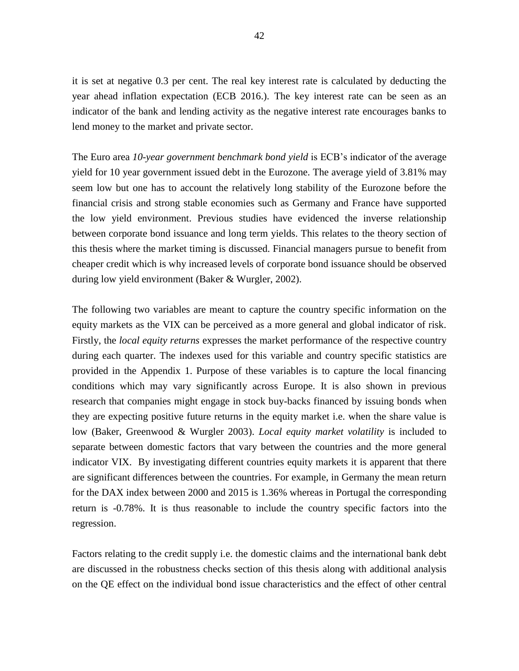it is set at negative 0.3 per cent. The real key interest rate is calculated by deducting the year ahead inflation expectation (ECB 2016.). The key interest rate can be seen as an indicator of the bank and lending activity as the negative interest rate encourages banks to lend money to the market and private sector.

The Euro area *10-year government benchmark bond yield* is ECB's indicator of the average yield for 10 year government issued debt in the Eurozone. The average yield of 3.81% may seem low but one has to account the relatively long stability of the Eurozone before the financial crisis and strong stable economies such as Germany and France have supported the low yield environment. Previous studies have evidenced the inverse relationship between corporate bond issuance and long term yields. This relates to the theory section of this thesis where the market timing is discussed. Financial managers pursue to benefit from cheaper credit which is why increased levels of corporate bond issuance should be observed during low yield environment (Baker & Wurgler, 2002).

The following two variables are meant to capture the country specific information on the equity markets as the VIX can be perceived as a more general and global indicator of risk. Firstly, the *local equity returns* expresses the market performance of the respective country during each quarter. The indexes used for this variable and country specific statistics are provided in the Appendix 1. Purpose of these variables is to capture the local financing conditions which may vary significantly across Europe. It is also shown in previous research that companies might engage in stock buy-backs financed by issuing bonds when they are expecting positive future returns in the equity market i.e. when the share value is low (Baker, Greenwood & Wurgler 2003). *Local equity market volatility* is included to separate between domestic factors that vary between the countries and the more general indicator VIX. By investigating different countries equity markets it is apparent that there are significant differences between the countries. For example, in Germany the mean return for the DAX index between 2000 and 2015 is 1.36% whereas in Portugal the corresponding return is -0.78%. It is thus reasonable to include the country specific factors into the regression.

Factors relating to the credit supply i.e. the domestic claims and the international bank debt are discussed in the robustness checks section of this thesis along with additional analysis on the QE effect on the individual bond issue characteristics and the effect of other central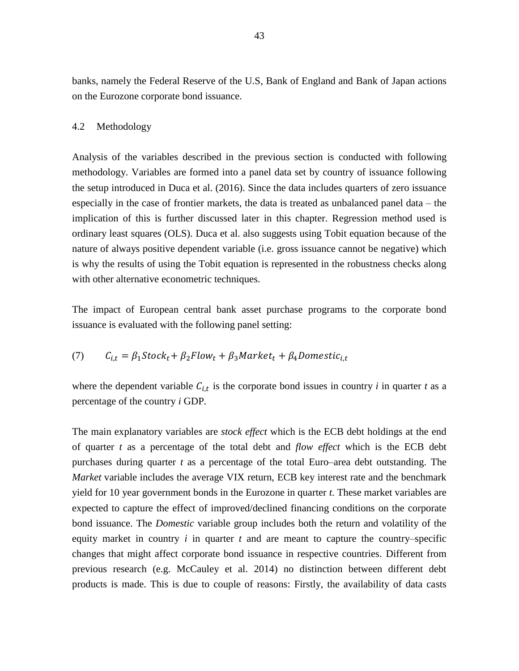banks, namely the Federal Reserve of the U.S, Bank of England and Bank of Japan actions on the Eurozone corporate bond issuance.

#### <span id="page-44-0"></span>4.2 Methodology

Analysis of the variables described in the previous section is conducted with following methodology. Variables are formed into a panel data set by country of issuance following the setup introduced in Duca et al. (2016). Since the data includes quarters of zero issuance especially in the case of frontier markets, the data is treated as unbalanced panel data – the implication of this is further discussed later in this chapter. Regression method used is ordinary least squares (OLS). Duca et al. also suggests using Tobit equation because of the nature of always positive dependent variable (i.e. gross issuance cannot be negative) which is why the results of using the Tobit equation is represented in the robustness checks along with other alternative econometric techniques.

The impact of European central bank asset purchase programs to the corporate bond issuance is evaluated with the following panel setting:

# (7)  $C_{i,t} = \beta_1 Stock_t + \beta_2 Flow_t + \beta_3 Market_t + \beta_4 Domestic_{i,t}$

where the dependent variable  $C_{i,t}$  is the corporate bond issues in country *i* in quarter *t* as a percentage of the country *i* GDP*.*

The main explanatory variables are *stock effect* which is the ECB debt holdings at the end of quarter *t* as a percentage of the total debt and *flow effect* which is the ECB debt purchases during quarter *t* as a percentage of the total Euro–area debt outstanding. The *Market* variable includes the average VIX return, ECB key interest rate and the benchmark yield for 10 year government bonds in the Eurozone in quarter *t*. These market variables are expected to capture the effect of improved/declined financing conditions on the corporate bond issuance. The *Domestic* variable group includes both the return and volatility of the equity market in country  $i$  in quarter  $t$  and are meant to capture the country–specific changes that might affect corporate bond issuance in respective countries. Different from previous research (e.g. McCauley et al. 2014) no distinction between different debt products is made. This is due to couple of reasons: Firstly, the availability of data casts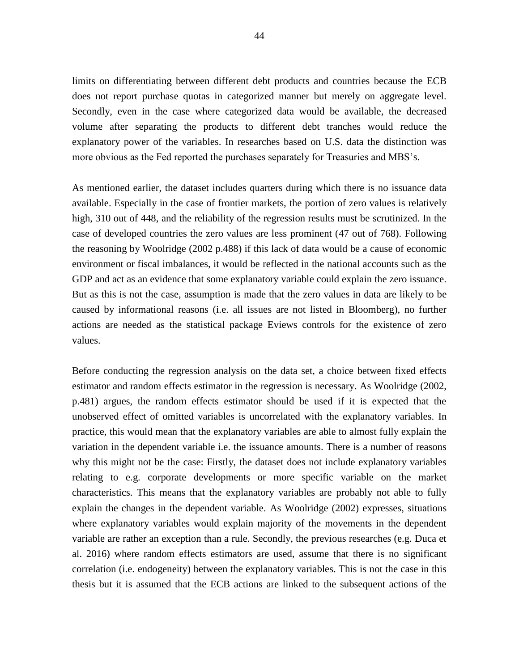limits on differentiating between different debt products and countries because the ECB does not report purchase quotas in categorized manner but merely on aggregate level. Secondly, even in the case where categorized data would be available, the decreased volume after separating the products to different debt tranches would reduce the explanatory power of the variables. In researches based on U.S. data the distinction was more obvious as the Fed reported the purchases separately for Treasuries and MBS's.

As mentioned earlier, the dataset includes quarters during which there is no issuance data available. Especially in the case of frontier markets, the portion of zero values is relatively high, 310 out of 448, and the reliability of the regression results must be scrutinized. In the case of developed countries the zero values are less prominent (47 out of 768). Following the reasoning by Woolridge (2002 p.488) if this lack of data would be a cause of economic environment or fiscal imbalances, it would be reflected in the national accounts such as the GDP and act as an evidence that some explanatory variable could explain the zero issuance. But as this is not the case, assumption is made that the zero values in data are likely to be caused by informational reasons (i.e. all issues are not listed in Bloomberg), no further actions are needed as the statistical package Eviews controls for the existence of zero values.

Before conducting the regression analysis on the data set, a choice between fixed effects estimator and random effects estimator in the regression is necessary. As Woolridge (2002, p.481) argues, the random effects estimator should be used if it is expected that the unobserved effect of omitted variables is uncorrelated with the explanatory variables. In practice, this would mean that the explanatory variables are able to almost fully explain the variation in the dependent variable i.e. the issuance amounts. There is a number of reasons why this might not be the case: Firstly, the dataset does not include explanatory variables relating to e.g. corporate developments or more specific variable on the market characteristics. This means that the explanatory variables are probably not able to fully explain the changes in the dependent variable. As Woolridge (2002) expresses, situations where explanatory variables would explain majority of the movements in the dependent variable are rather an exception than a rule. Secondly, the previous researches (e.g. Duca et al. 2016) where random effects estimators are used, assume that there is no significant correlation (i.e. endogeneity) between the explanatory variables. This is not the case in this thesis but it is assumed that the ECB actions are linked to the subsequent actions of the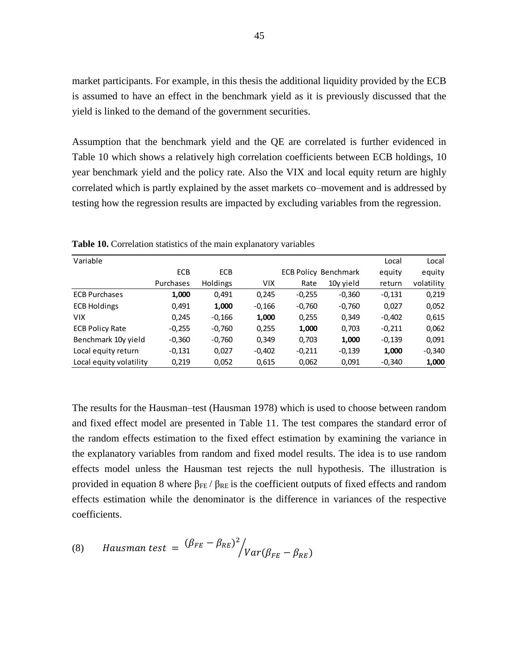market participants. For example, in this thesis the additional liquidity provided by the ECB is assumed to have an effect in the benchmark yield as it is previously discussed that the yield is linked to the demand of the government securities.

Assumption that the benchmark yield and the QE are correlated is further evidenced in Table 10 which shows a relatively high correlation coefficients between ECB holdings, 10 year benchmark yield and the policy rate. Also the VIX and local equity return are highly correlated which is partly explained by the asset markets co–movement and is addressed by testing how the regression results are impacted by excluding variables from the regression.

| Variable                |            |                 |            |          |                             | Local    | Local      |
|-------------------------|------------|-----------------|------------|----------|-----------------------------|----------|------------|
|                         | <b>ECB</b> | <b>ECB</b>      |            |          | <b>ECB Policy Benchmark</b> | equity   | equity     |
|                         | Purchases  | <b>Holdings</b> | <b>VIX</b> | Rate     | 10y yield                   | return   | volatility |
| <b>ECB Purchases</b>    | 1,000      | 0,491           | 0,245      | $-0,255$ | $-0,360$                    | $-0,131$ | 0,219      |
| <b>ECB Holdings</b>     | 0,491      | 1,000           | $-0,166$   | $-0,760$ | $-0,760$                    | 0,027    | 0,052      |
| <b>VIX</b>              | 0,245      | $-0,166$        | 1,000      | 0,255    | 0,349                       | $-0,402$ | 0,615      |
| <b>ECB Policy Rate</b>  | $-0,255$   | $-0,760$        | 0,255      | 1,000    | 0,703                       | $-0,211$ | 0,062      |
| Benchmark 10y yield     | $-0,360$   | $-0,760$        | 0,349      | 0,703    | 1,000                       | $-0,139$ | 0,091      |
| Local equity return     | $-0,131$   | 0,027           | $-0,402$   | $-0,211$ | $-0,139$                    | 1,000    | $-0,340$   |
| Local equity volatility | 0,219      | 0,052           | 0,615      | 0,062    | 0,091                       | $-0,340$ | 1,000      |

**Table 10.** Correlation statistics of the main explanatory variables

The results for the Hausman–test (Hausman 1978) which is used to choose between random and fixed effect model are presented in Table 11. The test compares the standard error of the random effects estimation to the fixed effect estimation by examining the variance in the explanatory variables from random and fixed model results. The idea is to use random effects model unless the Hausman test rejects the null hypothesis. The illustration is provided in equation 8 where  $β_{FE}/β_{RE}$  is the coefficient outputs of fixed effects and random effects estimation while the denominator is the difference in variances of the respective coefficients.

(8) *Hausman test* = 
$$
\frac{(\beta_{FE} - \beta_{RE})^2}{Var(\beta_{FE} - \beta_{RE})}
$$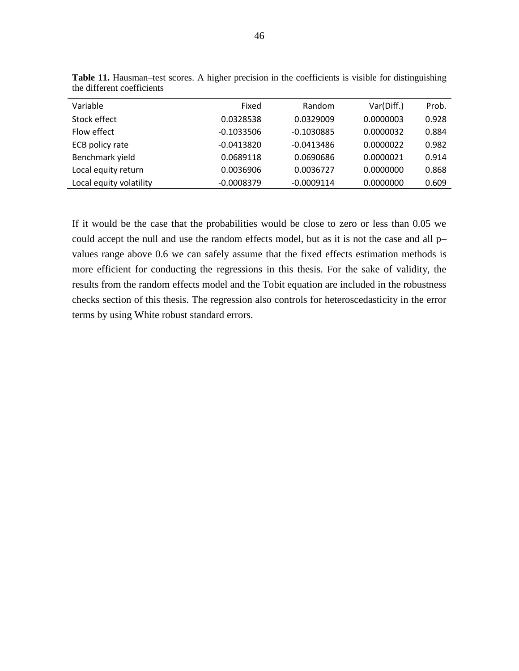| Variable                | Fixed        | Random       | Var(Diff.) | Prob. |
|-------------------------|--------------|--------------|------------|-------|
| Stock effect            | 0.0328538    | 0.0329009    | 0.0000003  | 0.928 |
| Flow effect             | $-0.1033506$ | $-0.1030885$ | 0.0000032  | 0.884 |
| ECB policy rate         | $-0.0413820$ | $-0.0413486$ | 0.0000022  | 0.982 |
| Benchmark yield         | 0.0689118    | 0.0690686    | 0.0000021  | 0.914 |
| Local equity return     | 0.0036906    | 0.0036727    | 0.0000000  | 0.868 |
| Local equity volatility | $-0.0008379$ | $-0.0009114$ | 0.0000000  | 0.609 |

<span id="page-47-0"></span>**Table 11.** Hausman–test scores. A higher precision in the coefficients is visible for distinguishing the different coefficients

If it would be the case that the probabilities would be close to zero or less than 0.05 we could accept the null and use the random effects model, but as it is not the case and all p– values range above 0.6 we can safely assume that the fixed effects estimation methods is more efficient for conducting the regressions in this thesis. For the sake of validity, the results from the random effects model and the Tobit equation are included in the robustness checks section of this thesis. The regression also controls for heteroscedasticity in the error terms by using White robust standard errors.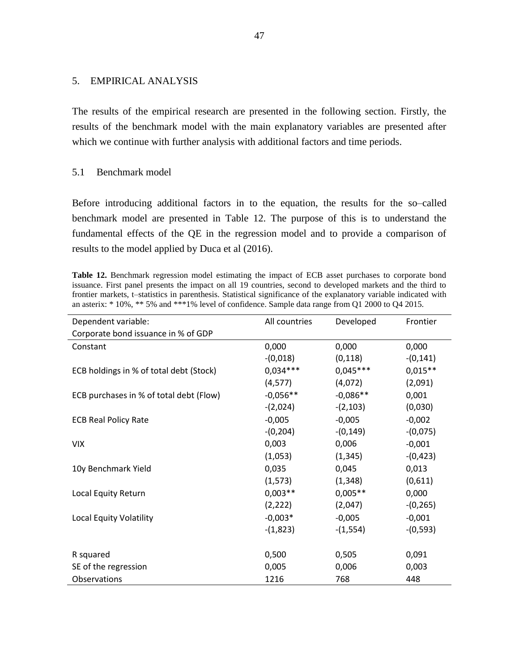## <span id="page-48-0"></span>5. EMPIRICAL ANALYSIS

The results of the empirical research are presented in the following section. Firstly, the results of the benchmark model with the main explanatory variables are presented after which we continue with further analysis with additional factors and time periods.

## <span id="page-48-1"></span>5.1 Benchmark model

Before introducing additional factors in to the equation, the results for the so–called benchmark model are presented in Table 12. The purpose of this is to understand the fundamental effects of the QE in the regression model and to provide a comparison of results to the model applied by Duca et al (2016).

<span id="page-48-2"></span>**Table 12.** Benchmark regression model estimating the impact of ECB asset purchases to corporate bond issuance. First panel presents the impact on all 19 countries, second to developed markets and the third to frontier markets, t–statistics in parenthesis. Statistical significance of the explanatory variable indicated with an asterix: \* 10%, \*\* 5% and \*\*\*1% level of confidence. Sample data range from Q1 2000 to Q4 2015.

| Dependent variable:                     | All countries | Developed   | Frontier    |
|-----------------------------------------|---------------|-------------|-------------|
| Corporate bond issuance in % of GDP     |               |             |             |
| Constant                                | 0,000         | 0,000       | 0,000       |
|                                         | $-(0,018)$    | (0, 118)    | $-(0, 141)$ |
| ECB holdings in % of total debt (Stock) | $0,034***$    | $0,045***$  | $0,015**$   |
|                                         | (4, 577)      | (4,072)     | (2,091)     |
| ECB purchases in % of total debt (Flow) | $-0,056**$    | $-0.086**$  | 0,001       |
|                                         | $-(2,024)$    | $-(2,103)$  | (0,030)     |
| <b>ECB Real Policy Rate</b>             | $-0,005$      | $-0,005$    | $-0,002$    |
|                                         | $-(0,204)$    | $-(0, 149)$ | $-(0,075)$  |
| <b>VIX</b>                              | 0,003         | 0,006       | $-0,001$    |
|                                         | (1,053)       | (1, 345)    | $-(0, 423)$ |
| 10y Benchmark Yield                     | 0,035         | 0,045       | 0,013       |
|                                         | (1, 573)      | (1, 348)    | (0,611)     |
| Local Equity Return                     | $0,003**$     | $0,005**$   | 0,000       |
|                                         | (2, 222)      | (2,047)     | $-(0, 265)$ |
| Local Equity Volatility                 | $-0,003*$     | $-0,005$    | $-0,001$    |
|                                         | $-(1,823)$    | $-(1,554)$  | $-(0,593)$  |
|                                         |               |             |             |
| R squared                               | 0,500         | 0,505       | 0,091       |
| SE of the regression                    | 0,005         | 0,006       | 0,003       |
| Observations                            | 1216          | 768         | 448         |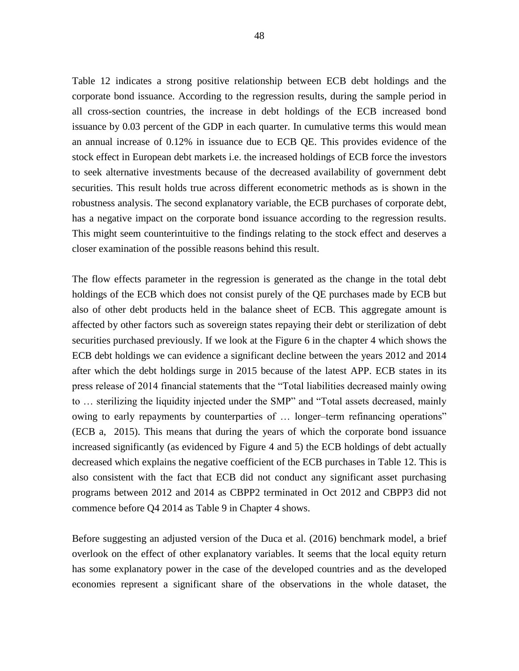Table 12 indicates a strong positive relationship between ECB debt holdings and the corporate bond issuance. According to the regression results, during the sample period in all cross-section countries, the increase in debt holdings of the ECB increased bond issuance by 0.03 percent of the GDP in each quarter. In cumulative terms this would mean an annual increase of 0.12% in issuance due to ECB QE. This provides evidence of the stock effect in European debt markets i.e. the increased holdings of ECB force the investors to seek alternative investments because of the decreased availability of government debt securities. This result holds true across different econometric methods as is shown in the robustness analysis. The second explanatory variable, the ECB purchases of corporate debt, has a negative impact on the corporate bond issuance according to the regression results. This might seem counterintuitive to the findings relating to the stock effect and deserves a closer examination of the possible reasons behind this result.

The flow effects parameter in the regression is generated as the change in the total debt holdings of the ECB which does not consist purely of the QE purchases made by ECB but also of other debt products held in the balance sheet of ECB. This aggregate amount is affected by other factors such as sovereign states repaying their debt or sterilization of debt securities purchased previously. If we look at the Figure 6 in the chapter 4 which shows the ECB debt holdings we can evidence a significant decline between the years 2012 and 2014 after which the debt holdings surge in 2015 because of the latest APP. ECB states in its press release of 2014 financial statements that the "Total liabilities decreased mainly owing to … sterilizing the liquidity injected under the SMP" and "Total assets decreased, mainly owing to early repayments by counterparties of … longer–term refinancing operations" (ECB a, 2015). This means that during the years of which the corporate bond issuance increased significantly (as evidenced by Figure 4 and 5) the ECB holdings of debt actually decreased which explains the negative coefficient of the ECB purchases in Table 12. This is also consistent with the fact that ECB did not conduct any significant asset purchasing programs between 2012 and 2014 as CBPP2 terminated in Oct 2012 and CBPP3 did not commence before Q4 2014 as Table 9 in Chapter 4 shows.

Before suggesting an adjusted version of the Duca et al. (2016) benchmark model, a brief overlook on the effect of other explanatory variables. It seems that the local equity return has some explanatory power in the case of the developed countries and as the developed economies represent a significant share of the observations in the whole dataset, the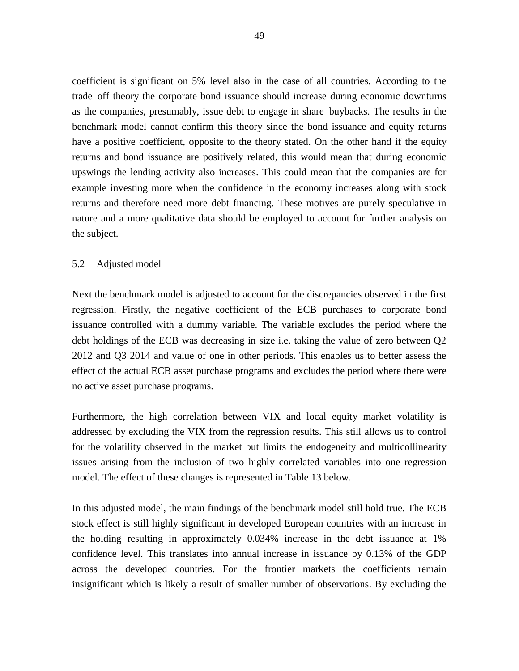coefficient is significant on 5% level also in the case of all countries. According to the trade–off theory the corporate bond issuance should increase during economic downturns as the companies, presumably, issue debt to engage in share–buybacks. The results in the benchmark model cannot confirm this theory since the bond issuance and equity returns have a positive coefficient, opposite to the theory stated. On the other hand if the equity returns and bond issuance are positively related, this would mean that during economic upswings the lending activity also increases. This could mean that the companies are for example investing more when the confidence in the economy increases along with stock returns and therefore need more debt financing. These motives are purely speculative in nature and a more qualitative data should be employed to account for further analysis on the subject.

## <span id="page-50-0"></span>5.2 Adjusted model

Next the benchmark model is adjusted to account for the discrepancies observed in the first regression. Firstly, the negative coefficient of the ECB purchases to corporate bond issuance controlled with a dummy variable. The variable excludes the period where the debt holdings of the ECB was decreasing in size i.e. taking the value of zero between Q2 2012 and Q3 2014 and value of one in other periods. This enables us to better assess the effect of the actual ECB asset purchase programs and excludes the period where there were no active asset purchase programs.

Furthermore, the high correlation between VIX and local equity market volatility is addressed by excluding the VIX from the regression results. This still allows us to control for the volatility observed in the market but limits the endogeneity and multicollinearity issues arising from the inclusion of two highly correlated variables into one regression model. The effect of these changes is represented in Table 13 below.

In this adjusted model, the main findings of the benchmark model still hold true. The ECB stock effect is still highly significant in developed European countries with an increase in the holding resulting in approximately 0.034% increase in the debt issuance at 1% confidence level. This translates into annual increase in issuance by 0.13% of the GDP across the developed countries. For the frontier markets the coefficients remain insignificant which is likely a result of smaller number of observations. By excluding the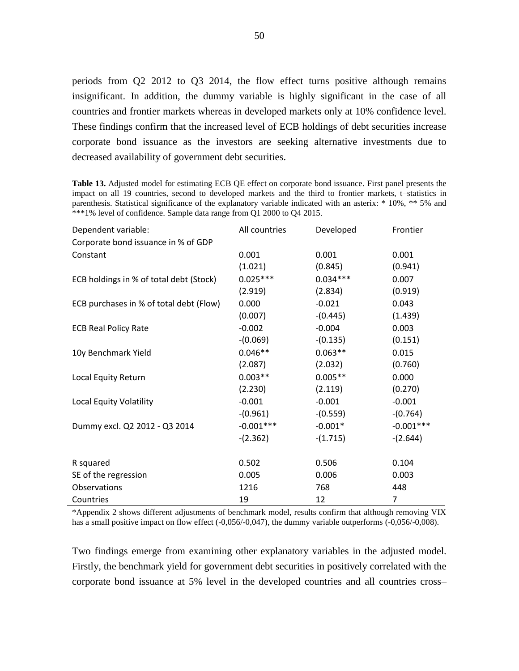periods from Q2 2012 to Q3 2014, the flow effect turns positive although remains insignificant. In addition, the dummy variable is highly significant in the case of all countries and frontier markets whereas in developed markets only at 10% confidence level. These findings confirm that the increased level of ECB holdings of debt securities increase corporate bond issuance as the investors are seeking alternative investments due to decreased availability of government debt securities.

Dependent variable: All countries Developed Frontier Corporate bond issuance in % of GDP Constant 0.001 0.001 0.001 0.001 (1.021) (0.845) (0.941) ECB holdings in % of total debt (Stock)  $0.025***$  0.034\*\*\* 0.007 (2.919) (2.834) (0.919) ECB purchases in % of total debt (Flow)  $0.000$   $-0.021$  0.043  $(0.007)$   $-(0.445)$   $(1.439)$ ECB Real Policy Rate  $-0.002$  -0.004 0.003 -(0.069) -(0.135) (0.151) 10y Benchmark Yield 0.046\*\* 0.063\*\* 0.015  $(2.087)$   $(2.032)$   $(0.760)$ Local Equity Return  $0.003**$  0.005<sup>\*\*</sup> 0.000  $(2.230)$   $(2.119)$   $(0.270)$ Local Equity Volatility  $-0.001$  -0.001 -0.001 -(0.961) -(0.559) -(0.764) Dummy excl. Q2 2012 - Q3 2014  $-0.001***$   $-0.001***$   $-0.001*$   $-0.001*$  $-(2.362)$   $-(1.715)$   $-(2.644)$ R squared **0.502** 0.500 0.506 0.104 SE of the regression  $0.005$  0.006 0.003 Observations 1216 768 448 Countries 19 12 7

<span id="page-51-0"></span>**Table 13.** Adjusted model for estimating ECB QE effect on corporate bond issuance. First panel presents the impact on all 19 countries, second to developed markets and the third to frontier markets, t–statistics in parenthesis. Statistical significance of the explanatory variable indicated with an asterix: \* 10%, \*\* 5% and \*\*\*1% level of confidence. Sample data range from Q1 2000 to Q4 2015.

\*Appendix 2 shows different adjustments of benchmark model, results confirm that although removing VIX has a small positive impact on flow effect (-0,056/-0,047), the dummy variable outperforms (-0,056/-0,008).

Two findings emerge from examining other explanatory variables in the adjusted model. Firstly, the benchmark yield for government debt securities in positively correlated with the corporate bond issuance at 5% level in the developed countries and all countries cross–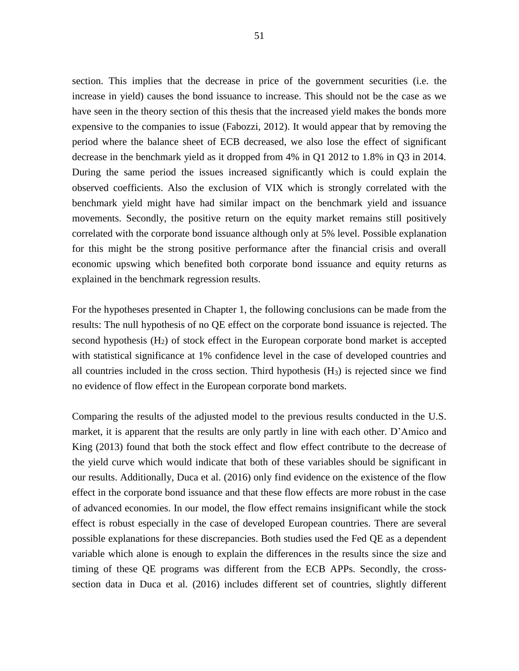51

section. This implies that the decrease in price of the government securities (i.e. the increase in yield) causes the bond issuance to increase. This should not be the case as we have seen in the theory section of this thesis that the increased yield makes the bonds more expensive to the companies to issue (Fabozzi, 2012). It would appear that by removing the period where the balance sheet of ECB decreased, we also lose the effect of significant decrease in the benchmark yield as it dropped from 4% in Q1 2012 to 1.8% in Q3 in 2014. During the same period the issues increased significantly which is could explain the observed coefficients. Also the exclusion of VIX which is strongly correlated with the benchmark yield might have had similar impact on the benchmark yield and issuance movements. Secondly, the positive return on the equity market remains still positively correlated with the corporate bond issuance although only at 5% level. Possible explanation for this might be the strong positive performance after the financial crisis and overall economic upswing which benefited both corporate bond issuance and equity returns as explained in the benchmark regression results.

For the hypotheses presented in Chapter 1, the following conclusions can be made from the results: The null hypothesis of no QE effect on the corporate bond issuance is rejected. The second hypothesis  $(H<sub>2</sub>)$  of stock effect in the European corporate bond market is accepted with statistical significance at 1% confidence level in the case of developed countries and all countries included in the cross section. Third hypothesis (H3) is rejected since we find no evidence of flow effect in the European corporate bond markets.

Comparing the results of the adjusted model to the previous results conducted in the U.S. market, it is apparent that the results are only partly in line with each other. D'Amico and King (2013) found that both the stock effect and flow effect contribute to the decrease of the yield curve which would indicate that both of these variables should be significant in our results. Additionally, Duca et al. (2016) only find evidence on the existence of the flow effect in the corporate bond issuance and that these flow effects are more robust in the case of advanced economies. In our model, the flow effect remains insignificant while the stock effect is robust especially in the case of developed European countries. There are several possible explanations for these discrepancies. Both studies used the Fed QE as a dependent variable which alone is enough to explain the differences in the results since the size and timing of these QE programs was different from the ECB APPs. Secondly, the crosssection data in Duca et al. (2016) includes different set of countries, slightly different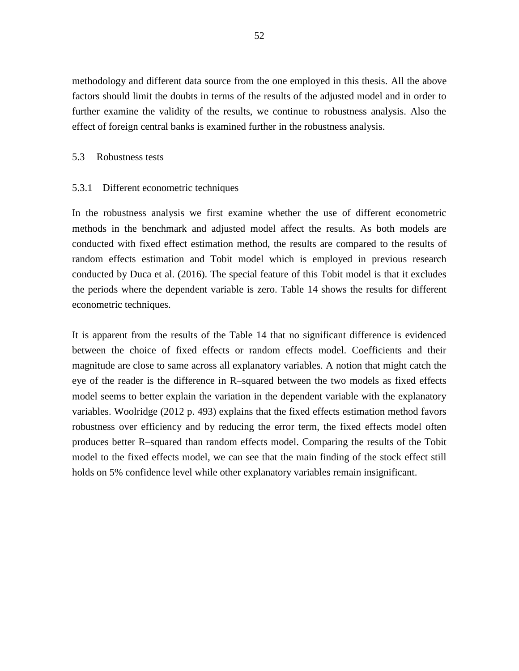methodology and different data source from the one employed in this thesis. All the above factors should limit the doubts in terms of the results of the adjusted model and in order to further examine the validity of the results, we continue to robustness analysis. Also the effect of foreign central banks is examined further in the robustness analysis.

#### <span id="page-53-0"></span>5.3 Robustness tests

#### <span id="page-53-1"></span>5.3.1 Different econometric techniques

In the robustness analysis we first examine whether the use of different econometric methods in the benchmark and adjusted model affect the results. As both models are conducted with fixed effect estimation method, the results are compared to the results of random effects estimation and Tobit model which is employed in previous research conducted by Duca et al. (2016). The special feature of this Tobit model is that it excludes the periods where the dependent variable is zero. Table 14 shows the results for different econometric techniques.

It is apparent from the results of the Table 14 that no significant difference is evidenced between the choice of fixed effects or random effects model. Coefficients and their magnitude are close to same across all explanatory variables. A notion that might catch the eye of the reader is the difference in R–squared between the two models as fixed effects model seems to better explain the variation in the dependent variable with the explanatory variables. Woolridge (2012 p. 493) explains that the fixed effects estimation method favors robustness over efficiency and by reducing the error term, the fixed effects model often produces better R–squared than random effects model. Comparing the results of the Tobit model to the fixed effects model, we can see that the main finding of the stock effect still holds on 5% confidence level while other explanatory variables remain insignificant.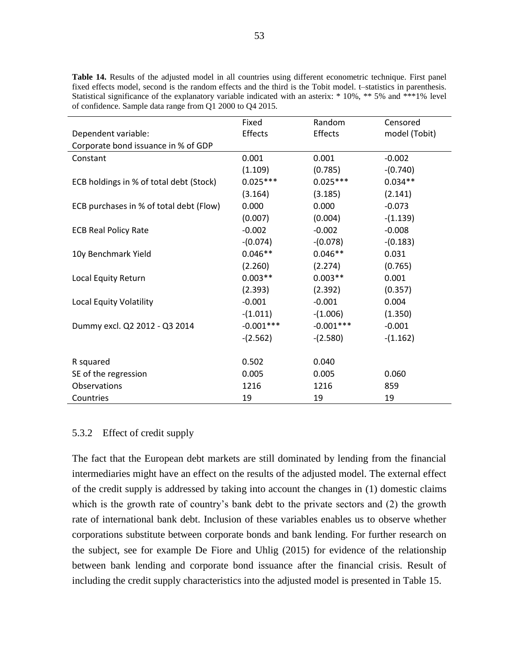|                                         | Fixed       | Random      | Censored      |
|-----------------------------------------|-------------|-------------|---------------|
| Dependent variable:                     | Effects     | Effects     | model (Tobit) |
| Corporate bond issuance in % of GDP     |             |             |               |
| Constant                                | 0.001       | 0.001       | $-0.002$      |
|                                         | (1.109)     | (0.785)     | $-(0.740)$    |
| ECB holdings in % of total debt (Stock) | $0.025***$  | $0.025***$  | $0.034**$     |
|                                         | (3.164)     | (3.185)     | (2.141)       |
| ECB purchases in % of total debt (Flow) | 0.000       | 0.000       | $-0.073$      |
|                                         | (0.007)     | (0.004)     | $-(1.139)$    |
| <b>ECB Real Policy Rate</b>             | $-0.002$    | $-0.002$    | $-0.008$      |
|                                         | $-(0.074)$  | $-(0.078)$  | $-(0.183)$    |
| 10y Benchmark Yield                     | $0.046**$   | $0.046**$   | 0.031         |
|                                         | (2.260)     | (2.274)     | (0.765)       |
| Local Equity Return                     | $0.003**$   | $0.003**$   | 0.001         |
|                                         | (2.393)     | (2.392)     | (0.357)       |
| Local Equity Volatility                 | $-0.001$    | $-0.001$    | 0.004         |
|                                         | $-(1.011)$  | $-(1.006)$  | (1.350)       |
| Dummy excl. Q2 2012 - Q3 2014           | $-0.001***$ | $-0.001***$ | $-0.001$      |
|                                         | $-(2.562)$  | $-(2.580)$  | $-(1.162)$    |
|                                         |             |             |               |
| R squared                               | 0.502       | 0.040       |               |
| SE of the regression                    | 0.005       | 0.005       | 0.060         |
| Observations                            | 1216        | 1216        | 859           |
| Countries                               | 19          | 19          | 19            |

<span id="page-54-1"></span>**Table 14.** Results of the adjusted model in all countries using different econometric technique. First panel fixed effects model, second is the random effects and the third is the Tobit model. t–statistics in parenthesis. Statistical significance of the explanatory variable indicated with an asterix: \* 10%, \*\* 5% and \*\*\*1% level of confidence. Sample data range from Q1 2000 to Q4 2015.

## <span id="page-54-0"></span>5.3.2 Effect of credit supply

The fact that the European debt markets are still dominated by lending from the financial intermediaries might have an effect on the results of the adjusted model. The external effect of the credit supply is addressed by taking into account the changes in (1) domestic claims which is the growth rate of country's bank debt to the private sectors and (2) the growth rate of international bank debt. Inclusion of these variables enables us to observe whether corporations substitute between corporate bonds and bank lending. For further research on the subject, see for example De Fiore and Uhlig (2015) for evidence of the relationship between bank lending and corporate bond issuance after the financial crisis. Result of including the credit supply characteristics into the adjusted model is presented in Table 15.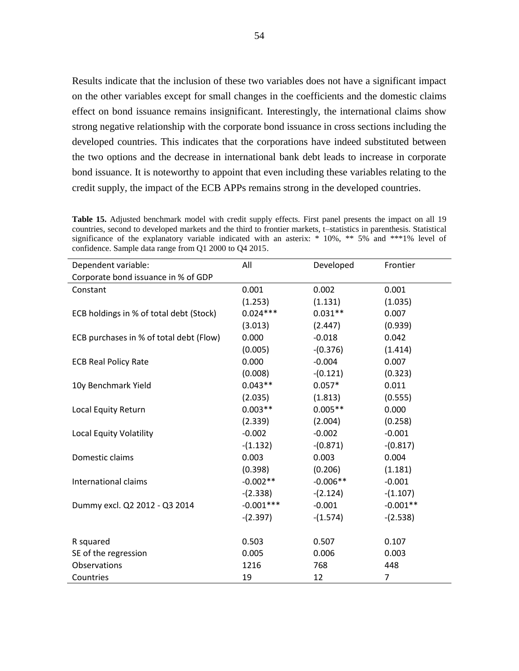Results indicate that the inclusion of these two variables does not have a significant impact on the other variables except for small changes in the coefficients and the domestic claims effect on bond issuance remains insignificant. Interestingly, the international claims show strong negative relationship with the corporate bond issuance in cross sections including the developed countries. This indicates that the corporations have indeed substituted between the two options and the decrease in international bank debt leads to increase in corporate bond issuance. It is noteworthy to appoint that even including these variables relating to the credit supply, the impact of the ECB APPs remains strong in the developed countries.

<span id="page-55-0"></span>**Table 15.** Adjusted benchmark model with credit supply effects. First panel presents the impact on all 19 countries, second to developed markets and the third to frontier markets, t–statistics in parenthesis. Statistical significance of the explanatory variable indicated with an asterix:  $*$  10%,  $**$  5% and  $**$ 1% level of confidence. Sample data range from Q1 2000 to Q4 2015.

| Dependent variable:                     | All         | Developed  | Frontier   |
|-----------------------------------------|-------------|------------|------------|
| Corporate bond issuance in % of GDP     |             |            |            |
| Constant                                | 0.001       | 0.002      | 0.001      |
|                                         | (1.253)     | (1.131)    | (1.035)    |
| ECB holdings in % of total debt (Stock) | $0.024***$  | $0.031**$  | 0.007      |
|                                         | (3.013)     | (2.447)    | (0.939)    |
| ECB purchases in % of total debt (Flow) | 0.000       | $-0.018$   | 0.042      |
|                                         | (0.005)     | $-(0.376)$ | (1.414)    |
| <b>ECB Real Policy Rate</b>             | 0.000       | $-0.004$   | 0.007      |
|                                         | (0.008)     | $-(0.121)$ | (0.323)    |
| 10y Benchmark Yield                     | $0.043**$   | $0.057*$   | 0.011      |
|                                         | (2.035)     | (1.813)    | (0.555)    |
| Local Equity Return                     | $0.003**$   | $0.005**$  | 0.000      |
|                                         | (2.339)     | (2.004)    | (0.258)    |
| <b>Local Equity Volatility</b>          | $-0.002$    | $-0.002$   | $-0.001$   |
|                                         | $-(1.132)$  | $-(0.871)$ | $-(0.817)$ |
| Domestic claims                         | 0.003       | 0.003      | 0.004      |
|                                         | (0.398)     | (0.206)    | (1.181)    |
| International claims                    | $-0.002**$  | $-0.006**$ | $-0.001$   |
|                                         | $-(2.338)$  | $-(2.124)$ | $-(1.107)$ |
| Dummy excl. Q2 2012 - Q3 2014           | $-0.001***$ | $-0.001$   | $-0.001**$ |
|                                         | $-(2.397)$  | $-(1.574)$ | $-(2.538)$ |
|                                         |             |            |            |
| R squared                               | 0.503       | 0.507      | 0.107      |
| SE of the regression                    | 0.005       | 0.006      | 0.003      |
| Observations                            | 1216        | 768        | 448        |
| Countries                               | 19          | 12         | 7          |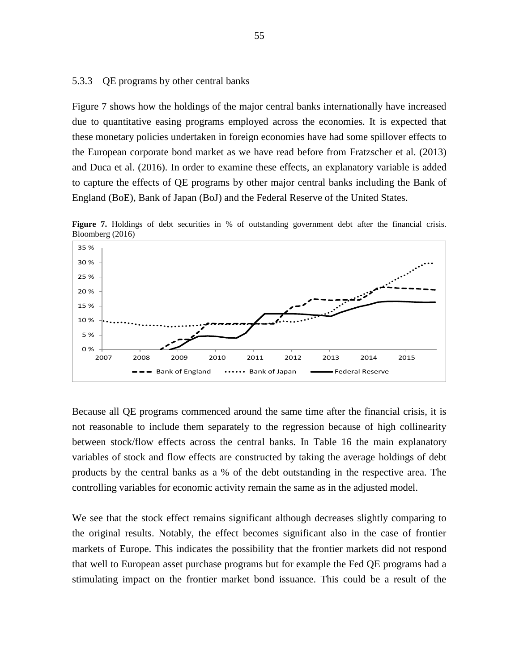#### <span id="page-56-0"></span>5.3.3 QE programs by other central banks

Figure 7 shows how the holdings of the major central banks internationally have increased due to quantitative easing programs employed across the economies. It is expected that these monetary policies undertaken in foreign economies have had some spillover effects to the European corporate bond market as we have read before from Fratzscher et al. (2013) and Duca et al. (2016). In order to examine these effects, an explanatory variable is added to capture the effects of QE programs by other major central banks including the Bank of England (BoE), Bank of Japan (BoJ) and the Federal Reserve of the United States.



Figure 7. Holdings of debt securities in % of outstanding government debt after the financial crisis. Bloomberg (2016)

Because all QE programs commenced around the same time after the financial crisis, it is not reasonable to include them separately to the regression because of high collinearity between stock/flow effects across the central banks. In Table 16 the main explanatory variables of stock and flow effects are constructed by taking the average holdings of debt products by the central banks as a % of the debt outstanding in the respective area. The controlling variables for economic activity remain the same as in the adjusted model.

We see that the stock effect remains significant although decreases slightly comparing to the original results. Notably, the effect becomes significant also in the case of frontier markets of Europe. This indicates the possibility that the frontier markets did not respond that well to European asset purchase programs but for example the Fed QE programs had a stimulating impact on the frontier market bond issuance. This could be a result of the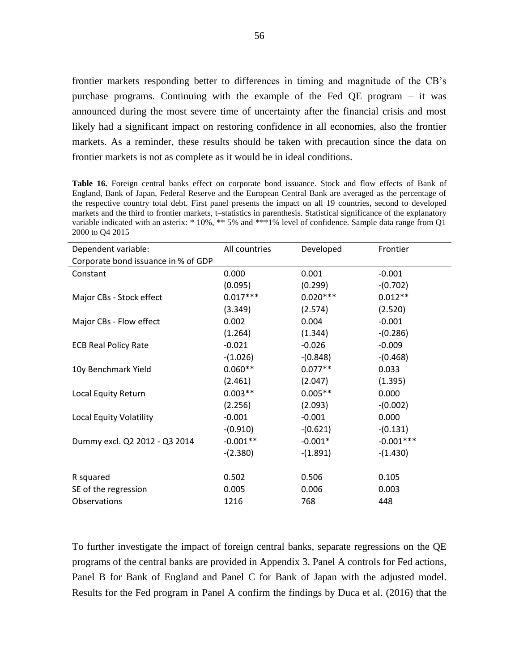frontier markets responding better to differences in timing and magnitude of the CB's purchase programs. Continuing with the example of the Fed QE program – it was announced during the most severe time of uncertainty after the financial crisis and most likely had a significant impact on restoring confidence in all economies, also the frontier markets. As a reminder, these results should be taken with precaution since the data on frontier markets is not as complete as it would be in ideal conditions.

<span id="page-57-0"></span>**Table 16.** Foreign central banks effect on corporate bond issuance. Stock and flow effects of Bank of England, Bank of Japan, Federal Reserve and the European Central Bank are averaged as the percentage of the respective country total debt. First panel presents the impact on all 19 countries, second to developed markets and the third to frontier markets, t–statistics in parenthesis. Statistical significance of the explanatory variable indicated with an asterix: \* 10%, \*\* 5% and \*\*\*1% level of confidence. Sample data range from Q1 2000 to Q4 2015

| Dependent variable:                 | All countries | Developed  | Frontier    |
|-------------------------------------|---------------|------------|-------------|
| Corporate bond issuance in % of GDP |               |            |             |
| Constant                            | 0.000         | 0.001      | $-0.001$    |
|                                     | (0.095)       | (0.299)    | $-(0.702)$  |
| Major CBs - Stock effect            | $0.017***$    | $0.020***$ | $0.012**$   |
|                                     | (3.349)       | (2.574)    | (2.520)     |
| Major CBs - Flow effect             | 0.002         | 0.004      | $-0.001$    |
|                                     | (1.264)       | (1.344)    | $-(0.286)$  |
| <b>ECB Real Policy Rate</b>         | $-0.021$      | $-0.026$   | $-0.009$    |
|                                     | $-(1.026)$    | $-(0.848)$ | $-(0.468)$  |
| 10y Benchmark Yield                 | $0.060**$     | $0.077**$  | 0.033       |
|                                     | (2.461)       | (2.047)    | (1.395)     |
| Local Equity Return                 | $0.003**$     | $0.005**$  | 0.000       |
|                                     | (2.256)       | (2.093)    | $-(0.002)$  |
| Local Equity Volatility             | $-0.001$      | $-0.001$   | 0.000       |
|                                     | $-(0.910)$    | $-(0.621)$ | $-(0.131)$  |
| Dummy excl. Q2 2012 - Q3 2014       | $-0.001**$    | $-0.001*$  | $-0.001***$ |
|                                     | $-(2.380)$    | $-(1.891)$ | $-(1.430)$  |
|                                     |               |            |             |
| R squared                           | 0.502         | 0.506      | 0.105       |
| SE of the regression                | 0.005         | 0.006      | 0.003       |
| Observations                        | 1216          | 768        | 448         |

To further investigate the impact of foreign central banks, separate regressions on the QE programs of the central banks are provided in Appendix 3. Panel A controls for Fed actions, Panel B for Bank of England and Panel C for Bank of Japan with the adjusted model. Results for the Fed program in Panel A confirm the findings by Duca et al. (2016) that the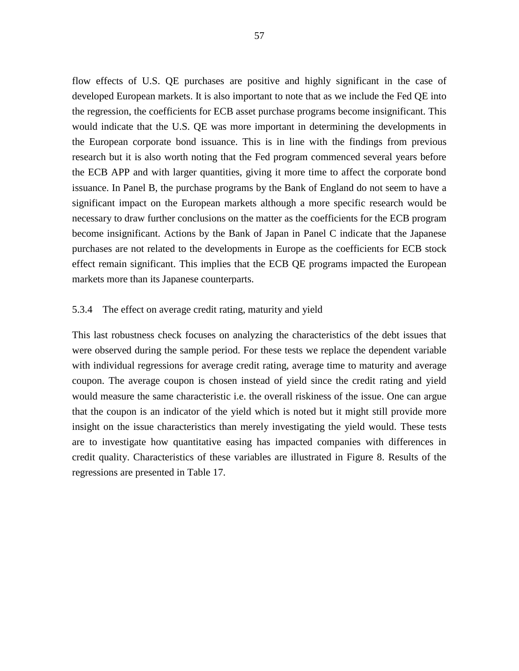flow effects of U.S. QE purchases are positive and highly significant in the case of developed European markets. It is also important to note that as we include the Fed QE into the regression, the coefficients for ECB asset purchase programs become insignificant. This would indicate that the U.S. QE was more important in determining the developments in the European corporate bond issuance. This is in line with the findings from previous research but it is also worth noting that the Fed program commenced several years before the ECB APP and with larger quantities, giving it more time to affect the corporate bond issuance. In Panel B, the purchase programs by the Bank of England do not seem to have a significant impact on the European markets although a more specific research would be necessary to draw further conclusions on the matter as the coefficients for the ECB program become insignificant. Actions by the Bank of Japan in Panel C indicate that the Japanese purchases are not related to the developments in Europe as the coefficients for ECB stock effect remain significant. This implies that the ECB QE programs impacted the European markets more than its Japanese counterparts.

## <span id="page-58-0"></span>5.3.4 The effect on average credit rating, maturity and yield

This last robustness check focuses on analyzing the characteristics of the debt issues that were observed during the sample period. For these tests we replace the dependent variable with individual regressions for average credit rating, average time to maturity and average coupon. The average coupon is chosen instead of yield since the credit rating and yield would measure the same characteristic i.e. the overall riskiness of the issue. One can argue that the coupon is an indicator of the yield which is noted but it might still provide more insight on the issue characteristics than merely investigating the yield would. These tests are to investigate how quantitative easing has impacted companies with differences in credit quality. Characteristics of these variables are illustrated in Figure 8. Results of the regressions are presented in Table 17.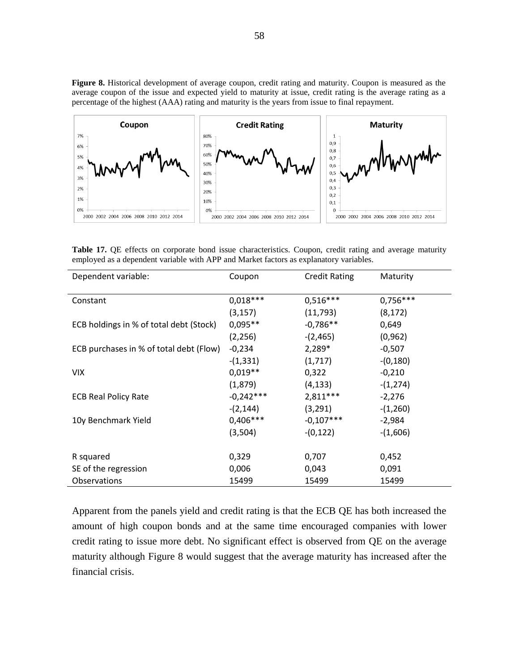**Figure 8.** Historical development of average coupon, credit rating and maturity. Coupon is measured as the average coupon of the issue and expected yield to maturity at issue, credit rating is the average rating as a percentage of the highest (AAA) rating and maturity is the years from issue to final repayment.



<span id="page-59-0"></span>**Table 17.** QE effects on corporate bond issue characteristics. Coupon, credit rating and average maturity employed as a dependent variable with APP and Market factors as explanatory variables.

| Dependent variable:                     | Coupon      | <b>Credit Rating</b> | Maturity   |
|-----------------------------------------|-------------|----------------------|------------|
| Constant                                | $0,018***$  | $0,516***$           | $0,756***$ |
|                                         | (3, 157)    | (11,793)             | (8, 172)   |
| ECB holdings in % of total debt (Stock) | $0,095**$   | $-0,786**$           | 0,649      |
|                                         | (2, 256)    | $-(2,465)$           | (0, 962)   |
| ECB purchases in % of total debt (Flow) | $-0,234$    | 2,289*               | $-0,507$   |
|                                         | $-(1, 331)$ | (1,717)              | $-(0,180)$ |
| <b>VIX</b>                              | $0.019**$   | 0,322                | $-0,210$   |
|                                         | (1,879)     | (4, 133)             | $-(1,274)$ |
| <b>ECB Real Policy Rate</b>             | $-0,242***$ | $2,811***$           | $-2,276$   |
|                                         | $-(2, 144)$ | (3, 291)             | $-(1,260)$ |
| 10y Benchmark Yield                     | $0,406***$  | $-0,107***$          | $-2,984$   |
|                                         | (3,504)     | $-(0,122)$           | $-(1,606)$ |
| R squared                               | 0,329       | 0,707                | 0,452      |
| SE of the regression                    | 0,006       | 0,043                | 0,091      |
| <b>Observations</b>                     | 15499       | 15499                | 15499      |

Apparent from the panels yield and credit rating is that the ECB QE has both increased the amount of high coupon bonds and at the same time encouraged companies with lower credit rating to issue more debt. No significant effect is observed from QE on the average maturity although Figure 8 would suggest that the average maturity has increased after the financial crisis.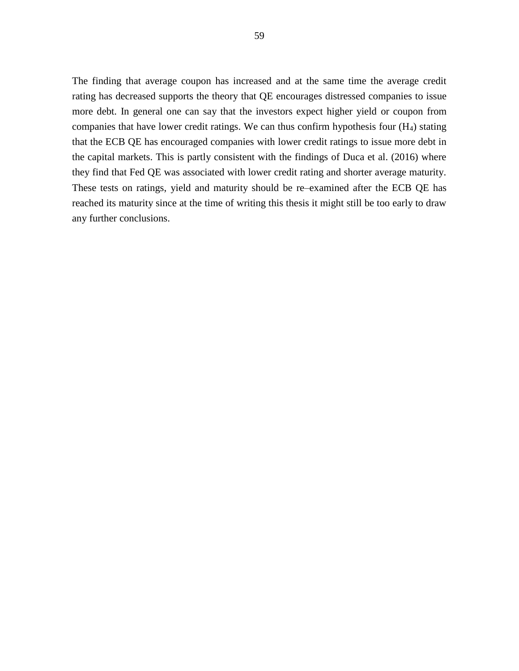The finding that average coupon has increased and at the same time the average credit rating has decreased supports the theory that QE encourages distressed companies to issue more debt. In general one can say that the investors expect higher yield or coupon from companies that have lower credit ratings. We can thus confirm hypothesis four (H4) stating that the ECB QE has encouraged companies with lower credit ratings to issue more debt in the capital markets. This is partly consistent with the findings of Duca et al. (2016) where they find that Fed QE was associated with lower credit rating and shorter average maturity. These tests on ratings, yield and maturity should be re–examined after the ECB QE has reached its maturity since at the time of writing this thesis it might still be too early to draw any further conclusions.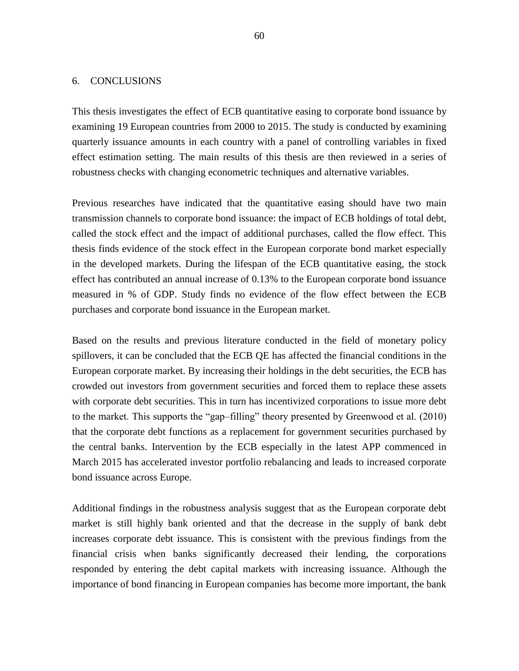### <span id="page-61-0"></span>6. CONCLUSIONS

This thesis investigates the effect of ECB quantitative easing to corporate bond issuance by examining 19 European countries from 2000 to 2015. The study is conducted by examining quarterly issuance amounts in each country with a panel of controlling variables in fixed effect estimation setting. The main results of this thesis are then reviewed in a series of robustness checks with changing econometric techniques and alternative variables.

Previous researches have indicated that the quantitative easing should have two main transmission channels to corporate bond issuance: the impact of ECB holdings of total debt, called the stock effect and the impact of additional purchases, called the flow effect. This thesis finds evidence of the stock effect in the European corporate bond market especially in the developed markets. During the lifespan of the ECB quantitative easing, the stock effect has contributed an annual increase of 0.13% to the European corporate bond issuance measured in % of GDP. Study finds no evidence of the flow effect between the ECB purchases and corporate bond issuance in the European market.

Based on the results and previous literature conducted in the field of monetary policy spillovers, it can be concluded that the ECB QE has affected the financial conditions in the European corporate market. By increasing their holdings in the debt securities, the ECB has crowded out investors from government securities and forced them to replace these assets with corporate debt securities. This in turn has incentivized corporations to issue more debt to the market. This supports the "gap–filling" theory presented by Greenwood et al. (2010) that the corporate debt functions as a replacement for government securities purchased by the central banks. Intervention by the ECB especially in the latest APP commenced in March 2015 has accelerated investor portfolio rebalancing and leads to increased corporate bond issuance across Europe.

Additional findings in the robustness analysis suggest that as the European corporate debt market is still highly bank oriented and that the decrease in the supply of bank debt increases corporate debt issuance. This is consistent with the previous findings from the financial crisis when banks significantly decreased their lending, the corporations responded by entering the debt capital markets with increasing issuance. Although the importance of bond financing in European companies has become more important, the bank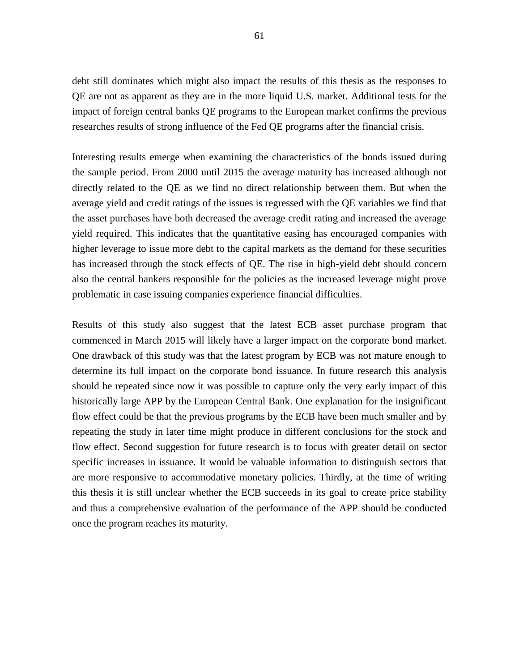debt still dominates which might also impact the results of this thesis as the responses to QE are not as apparent as they are in the more liquid U.S. market. Additional tests for the impact of foreign central banks QE programs to the European market confirms the previous researches results of strong influence of the Fed QE programs after the financial crisis.

Interesting results emerge when examining the characteristics of the bonds issued during the sample period. From 2000 until 2015 the average maturity has increased although not directly related to the QE as we find no direct relationship between them. But when the average yield and credit ratings of the issues is regressed with the QE variables we find that the asset purchases have both decreased the average credit rating and increased the average yield required. This indicates that the quantitative easing has encouraged companies with higher leverage to issue more debt to the capital markets as the demand for these securities has increased through the stock effects of QE. The rise in high-yield debt should concern also the central bankers responsible for the policies as the increased leverage might prove problematic in case issuing companies experience financial difficulties.

Results of this study also suggest that the latest ECB asset purchase program that commenced in March 2015 will likely have a larger impact on the corporate bond market. One drawback of this study was that the latest program by ECB was not mature enough to determine its full impact on the corporate bond issuance. In future research this analysis should be repeated since now it was possible to capture only the very early impact of this historically large APP by the European Central Bank. One explanation for the insignificant flow effect could be that the previous programs by the ECB have been much smaller and by repeating the study in later time might produce in different conclusions for the stock and flow effect. Second suggestion for future research is to focus with greater detail on sector specific increases in issuance. It would be valuable information to distinguish sectors that are more responsive to accommodative monetary policies. Thirdly, at the time of writing this thesis it is still unclear whether the ECB succeeds in its goal to create price stability and thus a comprehensive evaluation of the performance of the APP should be conducted once the program reaches its maturity.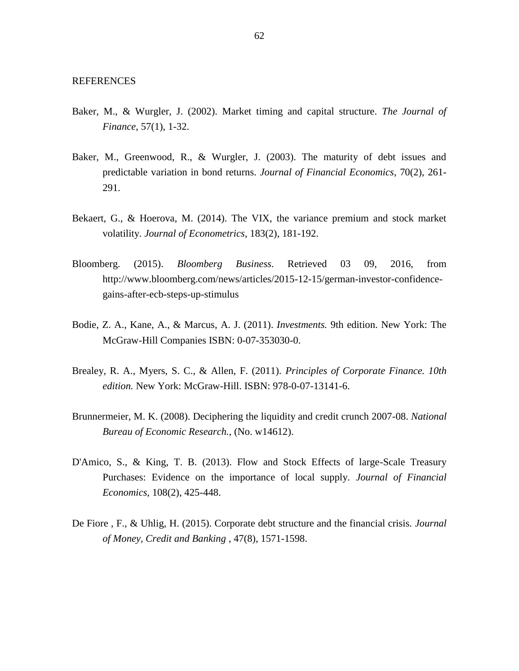- <span id="page-63-0"></span>Baker, M., & Wurgler, J. (2002). Market timing and capital structure. *The Journal of Finance*, 57(1), 1-32.
- Baker, M., Greenwood, R., & Wurgler, J. (2003). The maturity of debt issues and predictable variation in bond returns. *Journal of Financial Economics*, 70(2), 261- 291.
- Bekaert, G., & Hoerova, M. (2014). The VIX, the variance premium and stock market volatility. *Journal of Econometrics*, 183(2), 181-192.
- Bloomberg. (2015). *Bloomberg Business*. Retrieved 03 09, 2016, from http://www.bloomberg.com/news/articles/2015-12-15/german-investor-confidencegains-after-ecb-steps-up-stimulus
- Bodie, Z. A., Kane, A., & Marcus, A. J. (2011). *Investments.* 9th edition. New York: The McGraw-Hill Companies ISBN: 0-07-353030-0.
- Brealey, R. A., Myers, S. C., & Allen, F. (2011). *Principles of Corporate Finance. 10th edition.* New York: McGraw-Hill. ISBN: 978-0-07-13141-6.
- Brunnermeier, M. K. (2008). Deciphering the liquidity and credit crunch 2007-08. *National Bureau of Economic Research.*, (No. w14612).
- D'Amico, S., & King, T. B. (2013). Flow and Stock Effects of large-Scale Treasury Purchases: Evidence on the importance of local supply. *Journal of Financial Economics*, 108(2), 425-448.
- De Fiore , F., & Uhlig, H. (2015). Corporate debt structure and the financial crisis. *Journal of Money, Credit and Banking* , 47(8), 1571-1598.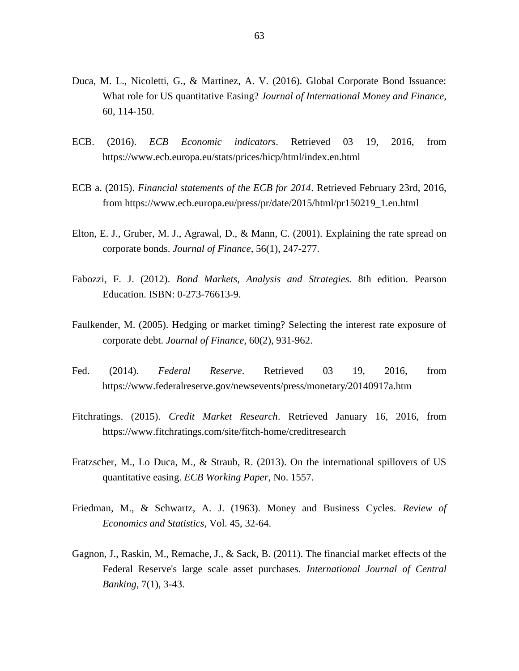- Duca, M. L., Nicoletti, G., & Martinez, A. V. (2016). Global Corporate Bond Issuance: What role for US quantitative Easing? *Journal of International Money and Finance*, 60, 114-150.
- ECB. (2016). *ECB Economic indicators*. Retrieved 03 19, 2016, from https://www.ecb.europa.eu/stats/prices/hicp/html/index.en.html
- ECB a. (2015). *Financial statements of the ECB for 2014*. Retrieved February 23rd, 2016, from https://www.ecb.europa.eu/press/pr/date/2015/html/pr150219\_1.en.html
- Elton, E. J., Gruber, M. J., Agrawal, D., & Mann, C. (2001). Explaining the rate spread on corporate bonds. *Journal of Finance*, 56(1), 247-277.
- Fabozzi, F. J. (2012). *Bond Markets, Analysis and Strategies.* 8th edition. Pearson Education. ISBN: 0-273-76613-9.
- Faulkender, M. (2005). Hedging or market timing? Selecting the interest rate exposure of corporate debt. *Journal of Finance*, 60(2), 931-962.
- Fed. (2014). *Federal Reserve*. Retrieved 03 19, 2016, from https://www.federalreserve.gov/newsevents/press/monetary/20140917a.htm
- Fitchratings. (2015). *Credit Market Research*. Retrieved January 16, 2016, from https://www.fitchratings.com/site/fitch-home/creditresearch
- Fratzscher, M., Lo Duca, M., & Straub, R. (2013). On the international spillovers of US quantitative easing. *ECB Working Paper*, No. 1557.
- Friedman, M., & Schwartz, A. J. (1963). Money and Business Cycles. *Review of Economics and Statistics*, Vol. 45, 32-64.
- Gagnon, J., Raskin, M., Remache, J., & Sack, B. (2011). The financial market effects of the Federal Reserve's large scale asset purchases. *International Journal of Central Banking*, 7(1), 3-43.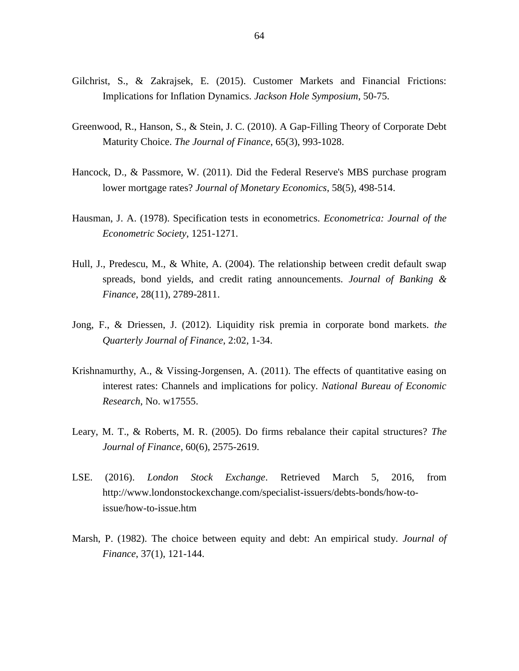- Gilchrist, S., & Zakrajsek, E. (2015). Customer Markets and Financial Frictions: Implications for Inflation Dynamics. *Jackson Hole Symposium*, 50-75.
- Greenwood, R., Hanson, S., & Stein, J. C. (2010). A Gap-Filling Theory of Corporate Debt Maturity Choice. *The Journal of Finance*, 65(3), 993-1028.
- Hancock, D., & Passmore, W. (2011). Did the Federal Reserve's MBS purchase program lower mortgage rates? *Journal of Monetary Economics*, 58(5), 498-514.
- Hausman, J. A. (1978). Specification tests in econometrics. *Econometrica: Journal of the Econometric Society*, 1251-1271.
- Hull, J., Predescu, M., & White, A. (2004). The relationship between credit default swap spreads, bond yields, and credit rating announcements. *Journal of Banking & Finance*, 28(11), 2789-2811.
- Jong, F., & Driessen, J. (2012). Liquidity risk premia in corporate bond markets. *the Quarterly Journal of Finance*, 2:02, 1-34.
- Krishnamurthy, A., & Vissing-Jorgensen, A. (2011). The effects of quantitative easing on interest rates: Channels and implications for policy. *National Bureau of Economic Research*, No. w17555.
- Leary, M. T., & Roberts, M. R. (2005). Do firms rebalance their capital structures? *The Journal of Finance*, 60(6), 2575-2619.
- LSE. (2016). *London Stock Exchange*. Retrieved March 5, 2016, from http://www.londonstockexchange.com/specialist-issuers/debts-bonds/how-toissue/how-to-issue.htm
- Marsh, P. (1982). The choice between equity and debt: An empirical study. *Journal of Finance*, 37(1), 121-144.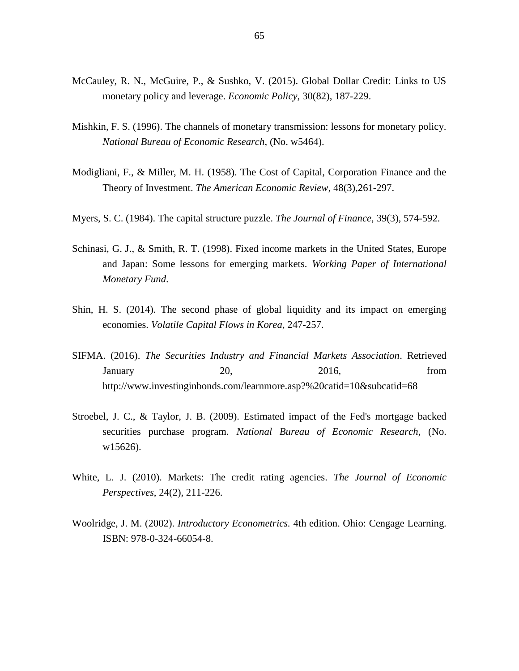- McCauley, R. N., McGuire, P., & Sushko, V. (2015). Global Dollar Credit: Links to US monetary policy and leverage. *Economic Policy*, 30(82), 187-229.
- Mishkin, F. S. (1996). The channels of monetary transmission: lessons for monetary policy. *National Bureau of Economic Research*, (No. w5464).
- Modigliani, F., & Miller, M. H. (1958). The Cost of Capital, Corporation Finance and the Theory of Investment. *The American Economic Review*, 48(3),261-297.
- Myers, S. C. (1984). The capital structure puzzle. *The Journal of Finance*, 39(3), 574-592.
- Schinasi, G. J., & Smith, R. T. (1998). Fixed income markets in the United States, Europe and Japan: Some lessons for emerging markets. *Working Paper of International Monetary Fund*.
- Shin, H. S. (2014). The second phase of global liquidity and its impact on emerging economies. *Volatile Capital Flows in Korea*, 247-257.
- SIFMA. (2016). *The Securities Industry and Financial Markets Association*. Retrieved January 20, 2016, from http://www.investinginbonds.com/learnmore.asp?%20catid=10&subcatid=68
- Stroebel, J. C., & Taylor, J. B. (2009). Estimated impact of the Fed's mortgage backed securities purchase program. *National Bureau of Economic Research*, (No. w15626).
- White, L. J. (2010). Markets: The credit rating agencies. *The Journal of Economic Perspectives*, 24(2), 211-226.
- Woolridge, J. M. (2002). *Introductory Econometrics.* 4th edition. Ohio: Cengage Learning. ISBN: 978-0-324-66054-8.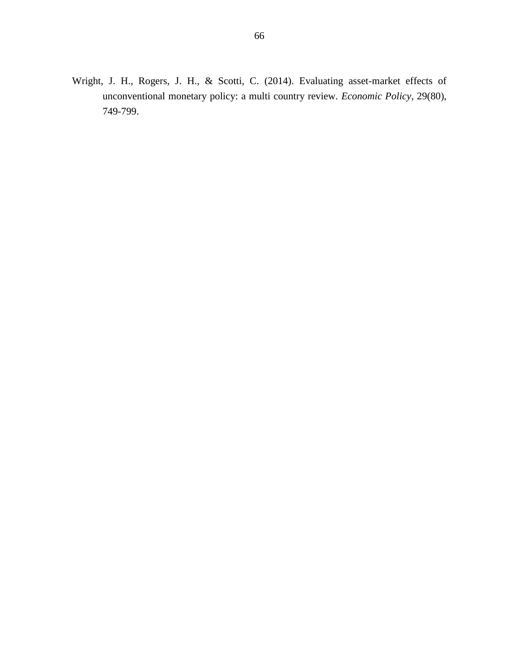Wright, J. H., Rogers, J. H., & Scotti, C. (2014). Evaluating asset-market effects of unconventional monetary policy: a multi country review. *Economic Policy*, 29(80), 749-799.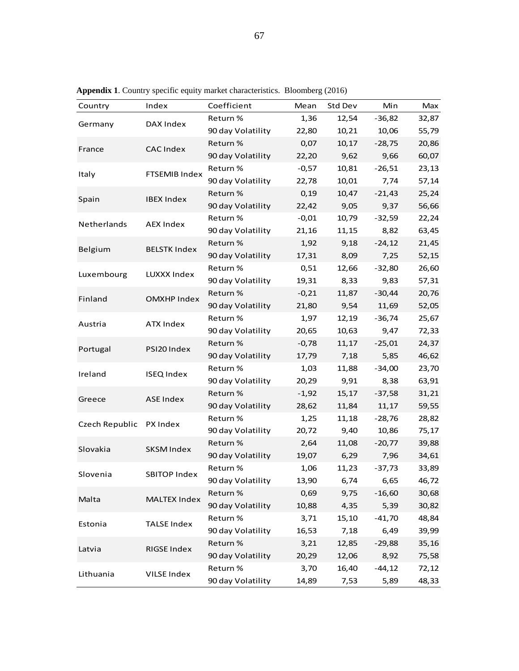| Country        | Index                | Coefficient       | Mean    | Std Dev | Min       | Max   |
|----------------|----------------------|-------------------|---------|---------|-----------|-------|
|                |                      | Return %          | 1,36    | 12,54   | $-36,82$  | 32,87 |
| Germany        | DAX Index            | 90 day Volatility | 22,80   | 10,21   | 10,06     | 55,79 |
|                |                      | Return %          | 0,07    | 10,17   | $-28,75$  | 20,86 |
| France         | <b>CAC Index</b>     | 90 day Volatility | 22,20   | 9,62    | 9,66      | 60,07 |
|                |                      | Return %          | $-0,57$ | 10,81   | $-26,51$  | 23,13 |
| Italy          | <b>FTSEMIB Index</b> | 90 day Volatility | 22,78   | 10,01   | 7,74      | 57,14 |
|                |                      | Return %          | 0,19    | 10,47   | $-21,43$  | 25,24 |
| Spain          | <b>IBEX Index</b>    | 90 day Volatility | 22,42   | 9,05    | 9,37      | 56,66 |
|                |                      | Return %          | $-0,01$ | 10,79   | $-32,59$  | 22,24 |
| Netherlands    | <b>AEX Index</b>     | 90 day Volatility | 21,16   | 11,15   | 8,82      | 63,45 |
| Belgium        | <b>BELSTK Index</b>  | Return %          | 1,92    | 9,18    | $-24,12$  | 21,45 |
|                |                      | 90 day Volatility | 17,31   | 8,09    | 7,25      | 52,15 |
| Luxembourg     | LUXXX Index          | Return %          | 0,51    | 12,66   | $-32,80$  | 26,60 |
|                |                      | 90 day Volatility | 19,31   | 8,33    | 9,83      | 57,31 |
| Finland        | <b>OMXHP Index</b>   | Return %          | $-0,21$ | 11,87   | $-30,44$  | 20,76 |
|                |                      | 90 day Volatility | 21,80   | 9,54    | 11,69     | 52,05 |
| Austria        | <b>ATX Index</b>     | Return %          | 1,97    | 12,19   | $-36,74$  | 25,67 |
|                |                      | 90 day Volatility | 20,65   | 10,63   | 9,47      | 72,33 |
| Portugal       | PSI20 Index          | Return %          | $-0,78$ | 11,17   | $-25,01$  | 24,37 |
|                |                      | 90 day Volatility | 17,79   | 7,18    | 5,85      | 46,62 |
| Ireland        | <b>ISEQ Index</b>    | Return %          | 1,03    | 11,88   | $-34,00$  | 23,70 |
|                |                      | 90 day Volatility | 20,29   | 9,91    | 8,38      | 63,91 |
| Greece         | <b>ASE Index</b>     | Return %          | $-1,92$ | 15,17   | $-37,58$  | 31,21 |
|                |                      | 90 day Volatility | 28,62   | 11,84   | 11,17     | 59,55 |
| Czech Republic | PX Index             | Return %          | 1,25    | 11,18   | $-28,76$  | 28,82 |
|                |                      | 90 day Volatility | 20,72   | 9,40    | 10,86     | 75,17 |
| Slovakia       | <b>SKSM Index</b>    | Return %          | 2,64    | 11,08   | $-20,77$  | 39,88 |
|                |                      | 90 day Volatility | 19,07   | 6,29    | 7,96      | 34,61 |
| Slovenia       | <b>SBITOP Index</b>  | Return %          | 1,06    | 11,23   | $-37,73$  | 33,89 |
|                |                      | 90 day Volatility | 13,90   | 6,74    | 6,65      | 46,72 |
| Malta          | <b>MALTEX Index</b>  | Return %          | 0,69    | 9,75    | $-16,60$  | 30,68 |
|                |                      | 90 day Volatility | 10,88   | 4,35    | 5,39      | 30,82 |
| Estonia        | <b>TALSE Index</b>   | Return %          | 3,71    | 15,10   | $-41,70$  | 48,84 |
|                |                      | 90 day Volatility | 16,53   | 7,18    | 6,49      | 39,99 |
| Latvia         | RIGSE Index          | Return %          | 3,21    | 12,85   | $-29,88$  | 35,16 |
|                |                      | 90 day Volatility | 20,29   | 12,06   | 8,92      | 75,58 |
| Lithuania      | VILSE Index          | Return %          | 3,70    | 16,40   | $-44, 12$ | 72,12 |
|                |                      | 90 day Volatility | 14,89   | 7,53    | 5,89      | 48,33 |

**Appendix 1**. Country specific equity market characteristics. Bloomberg (2016)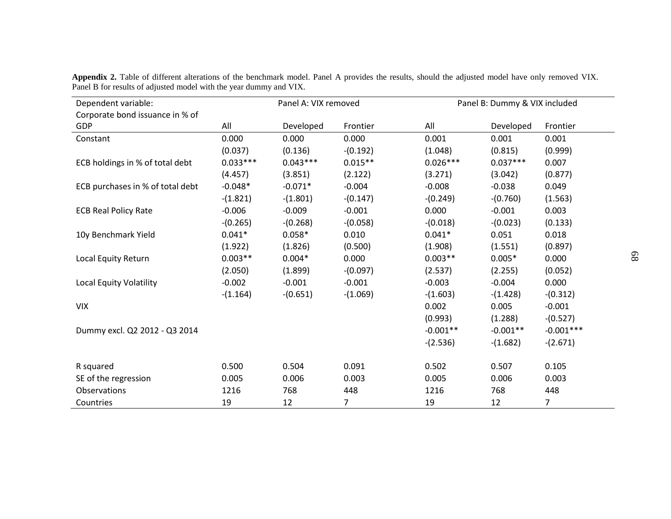| Dependent variable:              | Panel A: VIX removed |            |            | Panel B: Dummy & VIX included |            |             |
|----------------------------------|----------------------|------------|------------|-------------------------------|------------|-------------|
| Corporate bond issuance in % of  |                      |            |            |                               |            |             |
| GDP                              | All                  | Developed  | Frontier   | All                           | Developed  | Frontier    |
| Constant                         | 0.000                | 0.000      | 0.000      | 0.001                         | 0.001      | 0.001       |
|                                  | (0.037)              | (0.136)    | $-(0.192)$ | (1.048)                       | (0.815)    | (0.999)     |
| ECB holdings in % of total debt  | $0.033***$           | $0.043***$ | $0.015**$  | $0.026***$                    | $0.037***$ | 0.007       |
|                                  | (4.457)              | (3.851)    | (2.122)    | (3.271)                       | (3.042)    | (0.877)     |
| ECB purchases in % of total debt | $-0.048*$            | $-0.071*$  | $-0.004$   | $-0.008$                      | $-0.038$   | 0.049       |
|                                  | $-(1.821)$           | $-(1.801)$ | $-(0.147)$ | $-(0.249)$                    | $-(0.760)$ | (1.563)     |
| <b>ECB Real Policy Rate</b>      | $-0.006$             | $-0.009$   | $-0.001$   | 0.000                         | $-0.001$   | 0.003       |
|                                  | $-(0.265)$           | $-(0.268)$ | $-(0.058)$ | $-(0.018)$                    | $-(0.023)$ | (0.133)     |
| 10y Benchmark Yield              | $0.041*$             | $0.058*$   | 0.010      | $0.041*$                      | 0.051      | 0.018       |
|                                  | (1.922)              | (1.826)    | (0.500)    | (1.908)                       | (1.551)    | (0.897)     |
| Local Equity Return              | $0.003**$            | $0.004*$   | 0.000      | $0.003**$                     | $0.005*$   | 0.000       |
|                                  | (2.050)              | (1.899)    | $-(0.097)$ | (2.537)                       | (2.255)    | (0.052)     |
| <b>Local Equity Volatility</b>   | $-0.002$             | $-0.001$   | $-0.001$   | $-0.003$                      | $-0.004$   | 0.000       |
|                                  | $-(1.164)$           | $-(0.651)$ | $-(1.069)$ | $-(1.603)$                    | $-(1.428)$ | $-(0.312)$  |
| <b>VIX</b>                       |                      |            |            | 0.002                         | 0.005      | $-0.001$    |
|                                  |                      |            |            | (0.993)                       | (1.288)    | $-(0.527)$  |
| Dummy excl. Q2 2012 - Q3 2014    |                      |            |            | $-0.001**$                    | $-0.001**$ | $-0.001***$ |
|                                  |                      |            |            | $-(2.536)$                    | $-(1.682)$ | $-(2.671)$  |
| R squared                        | 0.500                | 0.504      | 0.091      | 0.502                         | 0.507      | 0.105       |
| SE of the regression             | 0.005                | 0.006      | 0.003      | 0.005                         | 0.006      | 0.003       |
| Observations                     | 1216                 | 768        | 448        | 1216                          | 768        | 448         |
| Countries                        | 19                   | 12         | 7          | 19                            | 12         | 7           |

**Appendix 2.** Table of different alterations of the benchmark model. Panel A provides the results, should the adjusted model have only removed VIX. Panel B for results of adjusted model with the year dummy and VIX.